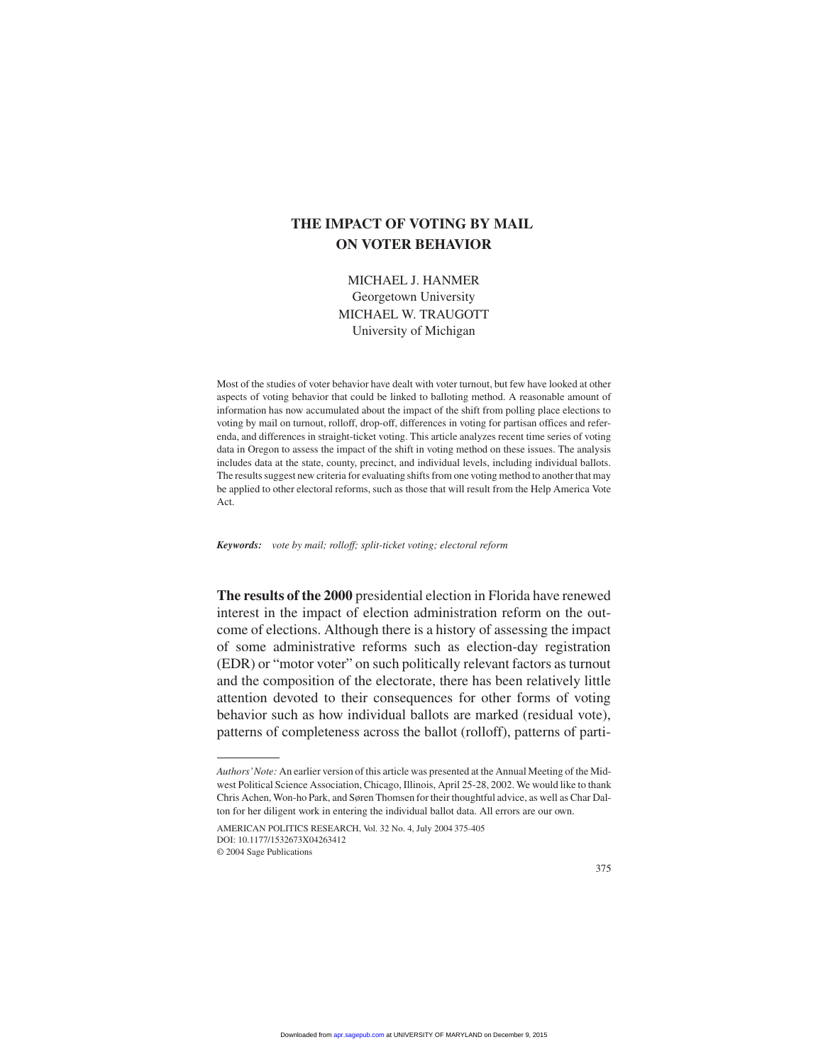# **THE IMPACT OF VOTING BY MAIL ON VOTER BEHAVIOR**

MICHAEL J. HANMER Georgetown University MICHAEL W. TRAUGOTT University of Michigan

Most of the studies of voter behavior have dealt with voter turnout, but few have looked at other aspects of voting behavior that could be linked to balloting method. A reasonable amount of information has now accumulated about the impact of the shift from polling place elections to voting by mail on turnout, rolloff, drop-off, differences in voting for partisan offices and referenda, and differences in straight-ticket voting. This article analyzes recent time series of voting data in Oregon to assess the impact of the shift in voting method on these issues. The analysis includes data at the state, county, precinct, and individual levels, including individual ballots. The results suggest new criteria for evaluating shifts from one voting method to another that may be applied to other electoral reforms, such as those that will result from the Help America Vote Act.

*Keywords: vote by mail; rolloff; split-ticket voting; electoral reform*

**The results of the 2000** presidential election in Florida have renewed interest in the impact of election administration reform on the outcome of elections. Although there is a history of assessing the impact of some administrative reforms such as election-day registration (EDR) or "motor voter" on such politically relevant factors as turnout and the composition of the electorate, there has been relatively little attention devoted to their consequences for other forms of voting behavior such as how individual ballots are marked (residual vote), patterns of completeness across the ballot (rolloff), patterns of parti-

*Authors'Note:* An earlier version of this article was presented at the Annual Meeting of the Midwest Political Science Association, Chicago, Illinois, April 25-28, 2002. We would like to thank Chris Achen, Won-ho Park, and Søren Thomsen for their thoughtful advice, as well as Char Dalton for her diligent work in entering the individual ballot data. All errors are our own.

AMERICAN POLITICS RESEARCH, Vol. 32 No. 4, July 2004 375-405

DOI: 10.1177/1532673X04263412

<sup>© 2004</sup> Sage Publications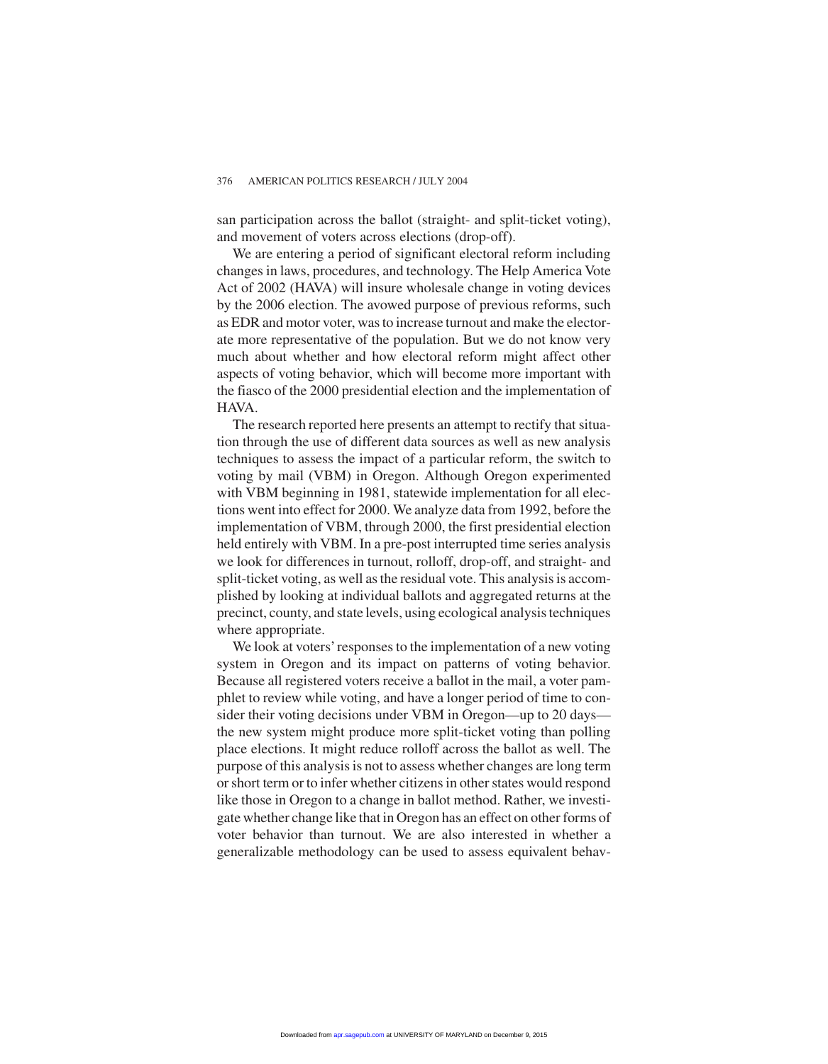san participation across the ballot (straight- and split-ticket voting), and movement of voters across elections (drop-off).

We are entering a period of significant electoral reform including changes in laws, procedures, and technology. The Help America Vote Act of 2002 (HAVA) will insure wholesale change in voting devices by the 2006 election. The avowed purpose of previous reforms, such as EDR and motor voter, was to increase turnout and make the electorate more representative of the population. But we do not know very much about whether and how electoral reform might affect other aspects of voting behavior, which will become more important with the fiasco of the 2000 presidential election and the implementation of HAVA.

The research reported here presents an attempt to rectify that situation through the use of different data sources as well as new analysis techniques to assess the impact of a particular reform, the switch to voting by mail (VBM) in Oregon. Although Oregon experimented with VBM beginning in 1981, statewide implementation for all elections went into effect for 2000. We analyze data from 1992, before the implementation of VBM, through 2000, the first presidential election held entirely with VBM. In a pre-post interrupted time series analysis we look for differences in turnout, rolloff, drop-off, and straight- and split-ticket voting, as well as the residual vote. This analysis is accomplished by looking at individual ballots and aggregated returns at the precinct, county, and state levels, using ecological analysis techniques where appropriate.

We look at voters' responses to the implementation of a new voting system in Oregon and its impact on patterns of voting behavior. Because all registered voters receive a ballot in the mail, a voter pamphlet to review while voting, and have a longer period of time to consider their voting decisions under VBM in Oregon—up to 20 days the new system might produce more split-ticket voting than polling place elections. It might reduce rolloff across the ballot as well. The purpose of this analysis is not to assess whether changes are long term or short term or to infer whether citizens in other states would respond like those in Oregon to a change in ballot method. Rather, we investigate whether change like that in Oregon has an effect on other forms of voter behavior than turnout. We are also interested in whether a generalizable methodology can be used to assess equivalent behav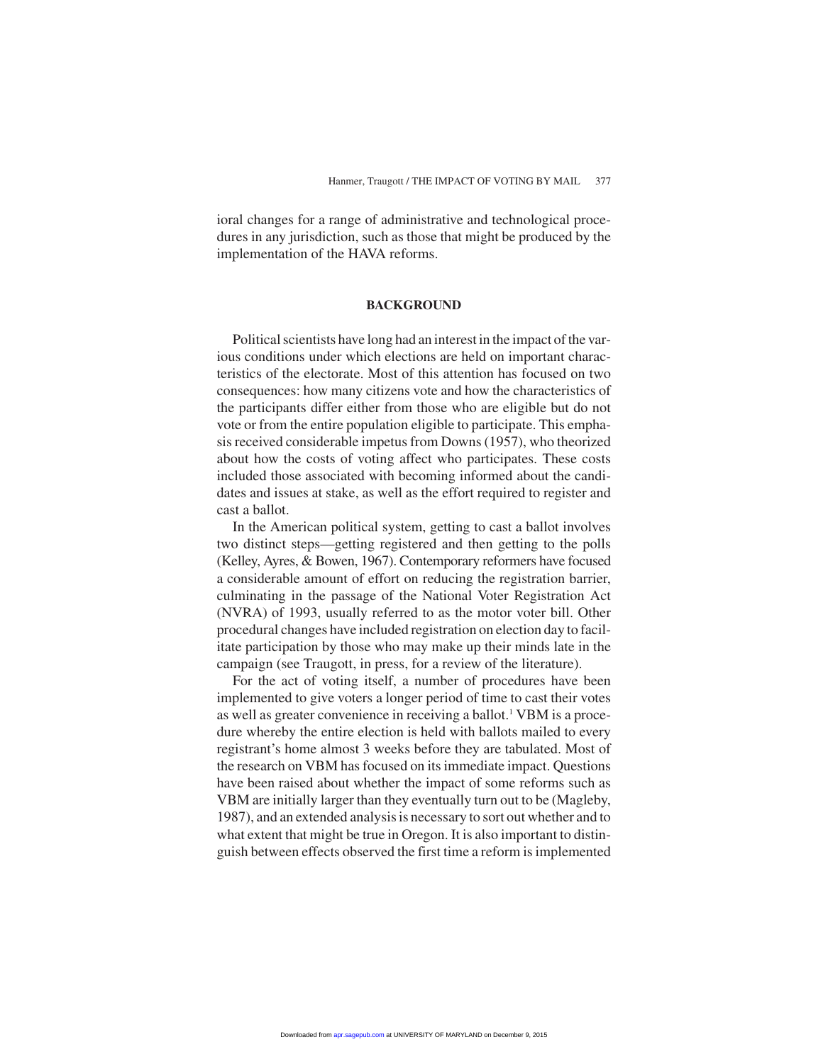ioral changes for a range of administrative and technological procedures in any jurisdiction, such as those that might be produced by the implementation of the HAVA reforms.

### **BACKGROUND**

Political scientists have long had an interest in the impact of the various conditions under which elections are held on important characteristics of the electorate. Most of this attention has focused on two consequences: how many citizens vote and how the characteristics of the participants differ either from those who are eligible but do not vote or from the entire population eligible to participate. This emphasis received considerable impetus from Downs (1957), who theorized about how the costs of voting affect who participates. These costs included those associated with becoming informed about the candidates and issues at stake, as well as the effort required to register and cast a ballot.

In the American political system, getting to cast a ballot involves two distinct steps—getting registered and then getting to the polls (Kelley, Ayres, & Bowen, 1967). Contemporary reformers have focused a considerable amount of effort on reducing the registration barrier, culminating in the passage of the National Voter Registration Act (NVRA) of 1993, usually referred to as the motor voter bill. Other procedural changes have included registration on election day to facilitate participation by those who may make up their minds late in the campaign (see Traugott, in press, for a review of the literature).

For the act of voting itself, a number of procedures have been implemented to give voters a longer period of time to cast their votes as well as greater convenience in receiving a ballot.<sup>1</sup> VBM is a procedure whereby the entire election is held with ballots mailed to every registrant's home almost 3 weeks before they are tabulated. Most of the research on VBM has focused on its immediate impact. Questions have been raised about whether the impact of some reforms such as VBM are initially larger than they eventually turn out to be (Magleby, 1987), and an extended analysis is necessary to sort out whether and to what extent that might be true in Oregon. It is also important to distinguish between effects observed the first time a reform is implemented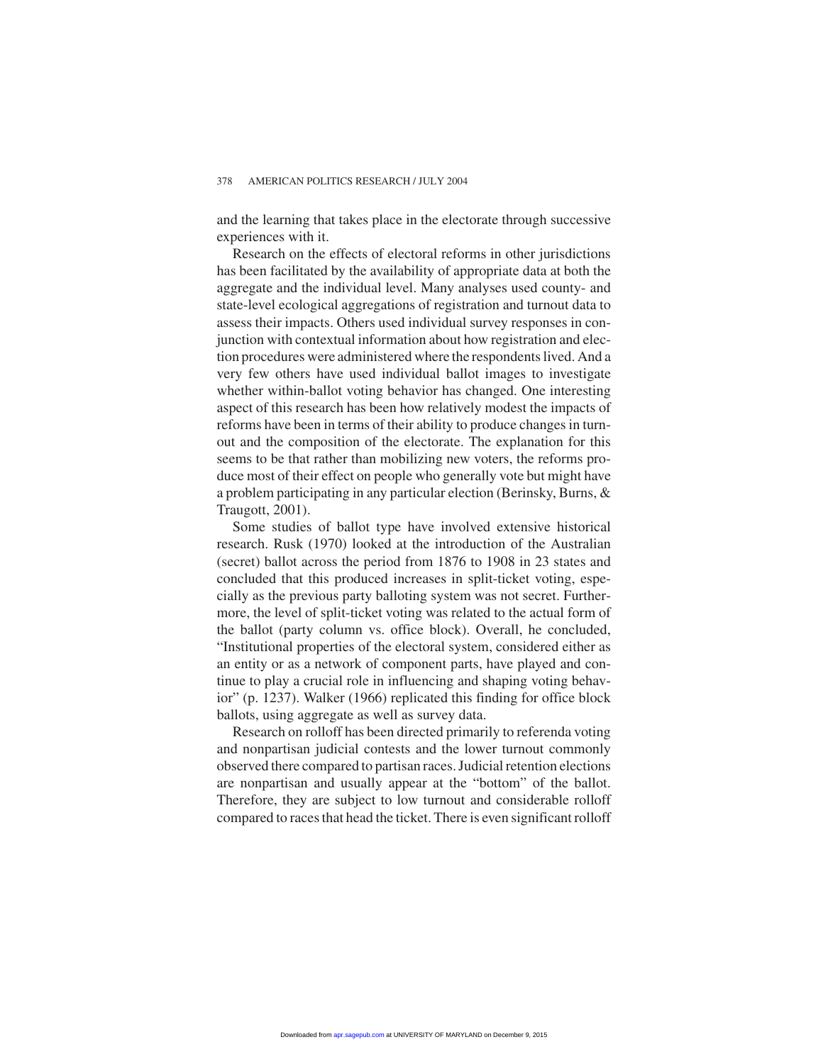and the learning that takes place in the electorate through successive experiences with it.

Research on the effects of electoral reforms in other jurisdictions has been facilitated by the availability of appropriate data at both the aggregate and the individual level. Many analyses used county- and state-level ecological aggregations of registration and turnout data to assess their impacts. Others used individual survey responses in conjunction with contextual information about how registration and election procedures were administered where the respondents lived. And a very few others have used individual ballot images to investigate whether within-ballot voting behavior has changed. One interesting aspect of this research has been how relatively modest the impacts of reforms have been in terms of their ability to produce changes in turnout and the composition of the electorate. The explanation for this seems to be that rather than mobilizing new voters, the reforms produce most of their effect on people who generally vote but might have a problem participating in any particular election (Berinsky, Burns, & Traugott, 2001).

Some studies of ballot type have involved extensive historical research. Rusk (1970) looked at the introduction of the Australian (secret) ballot across the period from 1876 to 1908 in 23 states and concluded that this produced increases in split-ticket voting, especially as the previous party balloting system was not secret. Furthermore, the level of split-ticket voting was related to the actual form of the ballot (party column vs. office block). Overall, he concluded, "Institutional properties of the electoral system, considered either as an entity or as a network of component parts, have played and continue to play a crucial role in influencing and shaping voting behavior" (p. 1237). Walker (1966) replicated this finding for office block ballots, using aggregate as well as survey data.

Research on rolloff has been directed primarily to referenda voting and nonpartisan judicial contests and the lower turnout commonly observed there compared to partisan races. Judicial retention elections are nonpartisan and usually appear at the "bottom" of the ballot. Therefore, they are subject to low turnout and considerable rolloff compared to races that head the ticket. There is even significant rolloff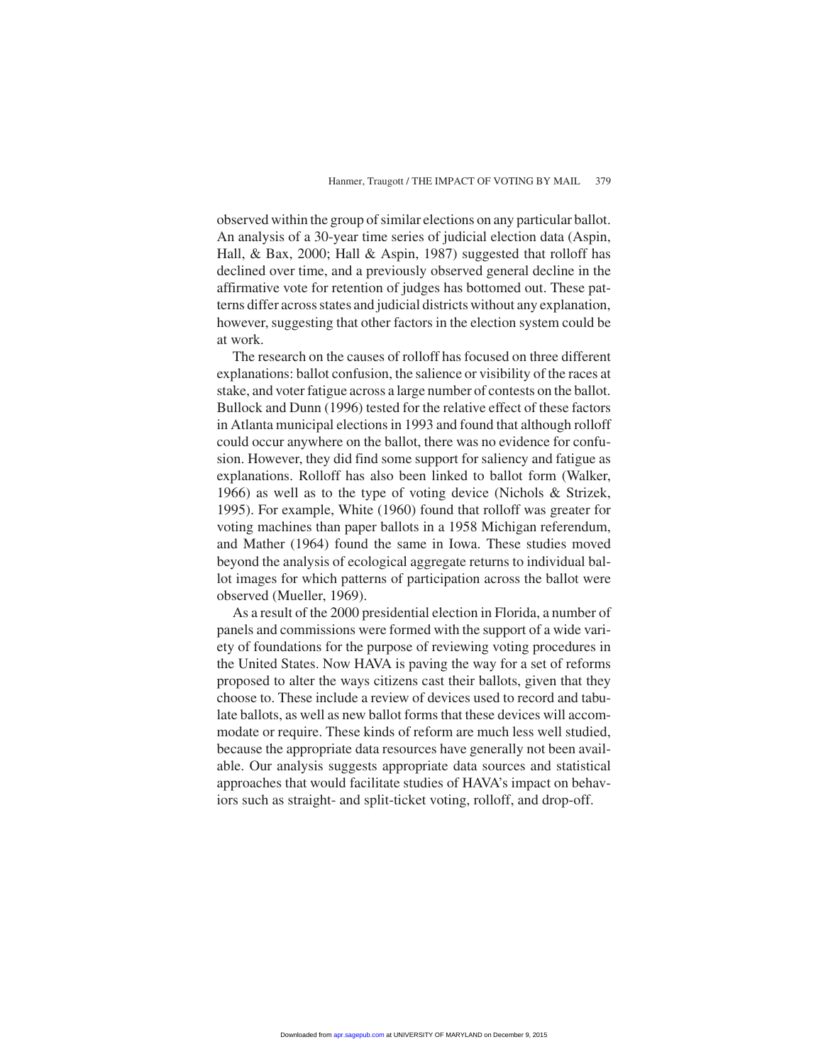observed within the group of similar elections on any particular ballot. An analysis of a 30-year time series of judicial election data (Aspin, Hall, & Bax, 2000; Hall & Aspin, 1987) suggested that rolloff has declined over time, and a previously observed general decline in the affirmative vote for retention of judges has bottomed out. These patterns differ across states and judicial districts without any explanation, however, suggesting that other factors in the election system could be at work.

The research on the causes of rolloff has focused on three different explanations: ballot confusion, the salience or visibility of the races at stake, and voter fatigue across a large number of contests on the ballot. Bullock and Dunn (1996) tested for the relative effect of these factors in Atlanta municipal elections in 1993 and found that although rolloff could occur anywhere on the ballot, there was no evidence for confusion. However, they did find some support for saliency and fatigue as explanations. Rolloff has also been linked to ballot form (Walker, 1966) as well as to the type of voting device (Nichols & Strizek, 1995). For example, White (1960) found that rolloff was greater for voting machines than paper ballots in a 1958 Michigan referendum, and Mather (1964) found the same in Iowa. These studies moved beyond the analysis of ecological aggregate returns to individual ballot images for which patterns of participation across the ballot were observed (Mueller, 1969).

As a result of the 2000 presidential election in Florida, a number of panels and commissions were formed with the support of a wide variety of foundations for the purpose of reviewing voting procedures in the United States. Now HAVA is paving the way for a set of reforms proposed to alter the ways citizens cast their ballots, given that they choose to. These include a review of devices used to record and tabulate ballots, as well as new ballot forms that these devices will accommodate or require. These kinds of reform are much less well studied, because the appropriate data resources have generally not been available. Our analysis suggests appropriate data sources and statistical approaches that would facilitate studies of HAVA's impact on behaviors such as straight- and split-ticket voting, rolloff, and drop-off.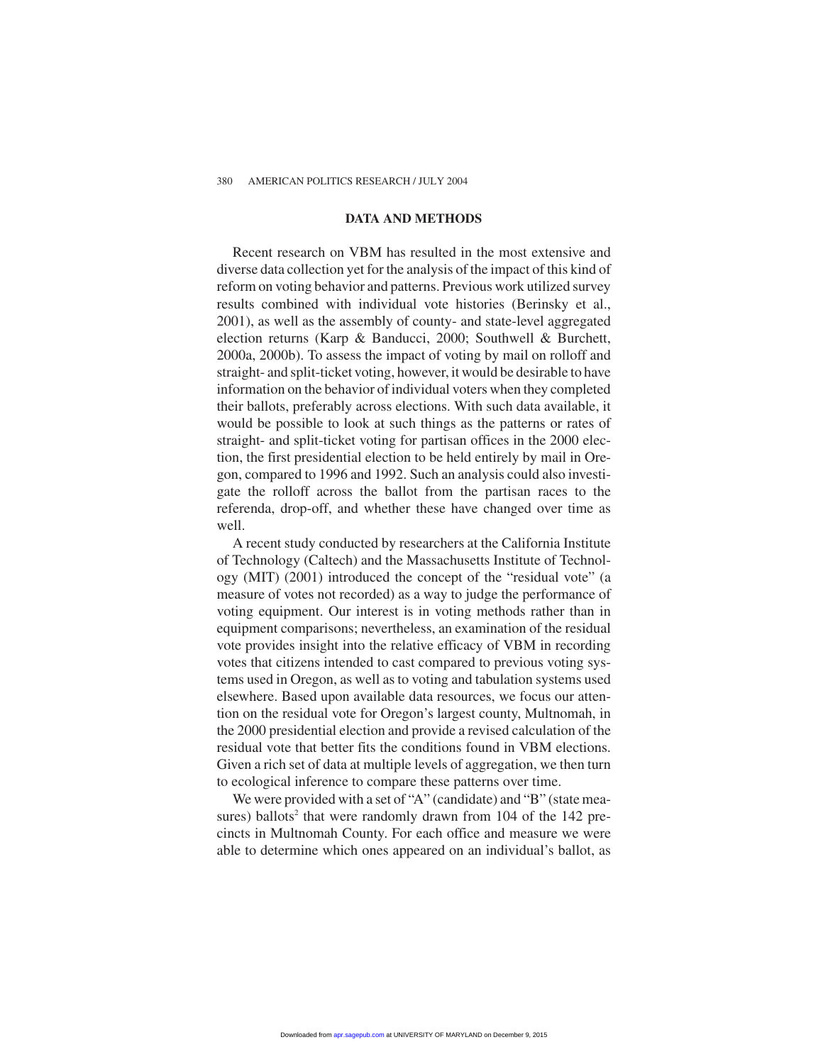### **DATA AND METHODS**

Recent research on VBM has resulted in the most extensive and diverse data collection yet for the analysis of the impact of this kind of reform on voting behavior and patterns. Previous work utilized survey results combined with individual vote histories (Berinsky et al., 2001), as well as the assembly of county- and state-level aggregated election returns (Karp & Banducci, 2000; Southwell & Burchett, 2000a, 2000b). To assess the impact of voting by mail on rolloff and straight- and split-ticket voting, however, it would be desirable to have information on the behavior of individual voters when they completed their ballots, preferably across elections. With such data available, it would be possible to look at such things as the patterns or rates of straight- and split-ticket voting for partisan offices in the 2000 election, the first presidential election to be held entirely by mail in Oregon, compared to 1996 and 1992. Such an analysis could also investigate the rolloff across the ballot from the partisan races to the referenda, drop-off, and whether these have changed over time as well.

A recent study conducted by researchers at the California Institute of Technology (Caltech) and the Massachusetts Institute of Technology (MIT) (2001) introduced the concept of the "residual vote" (a measure of votes not recorded) as a way to judge the performance of voting equipment. Our interest is in voting methods rather than in equipment comparisons; nevertheless, an examination of the residual vote provides insight into the relative efficacy of VBM in recording votes that citizens intended to cast compared to previous voting systems used in Oregon, as well as to voting and tabulation systems used elsewhere. Based upon available data resources, we focus our attention on the residual vote for Oregon's largest county, Multnomah, in the 2000 presidential election and provide a revised calculation of the residual vote that better fits the conditions found in VBM elections. Given a rich set of data at multiple levels of aggregation, we then turn to ecological inference to compare these patterns over time.

We were provided with a set of "A" (candidate) and "B" (state measures) ballots<sup>2</sup> that were randomly drawn from 104 of the 142 precincts in Multnomah County. For each office and measure we were able to determine which ones appeared on an individual's ballot, as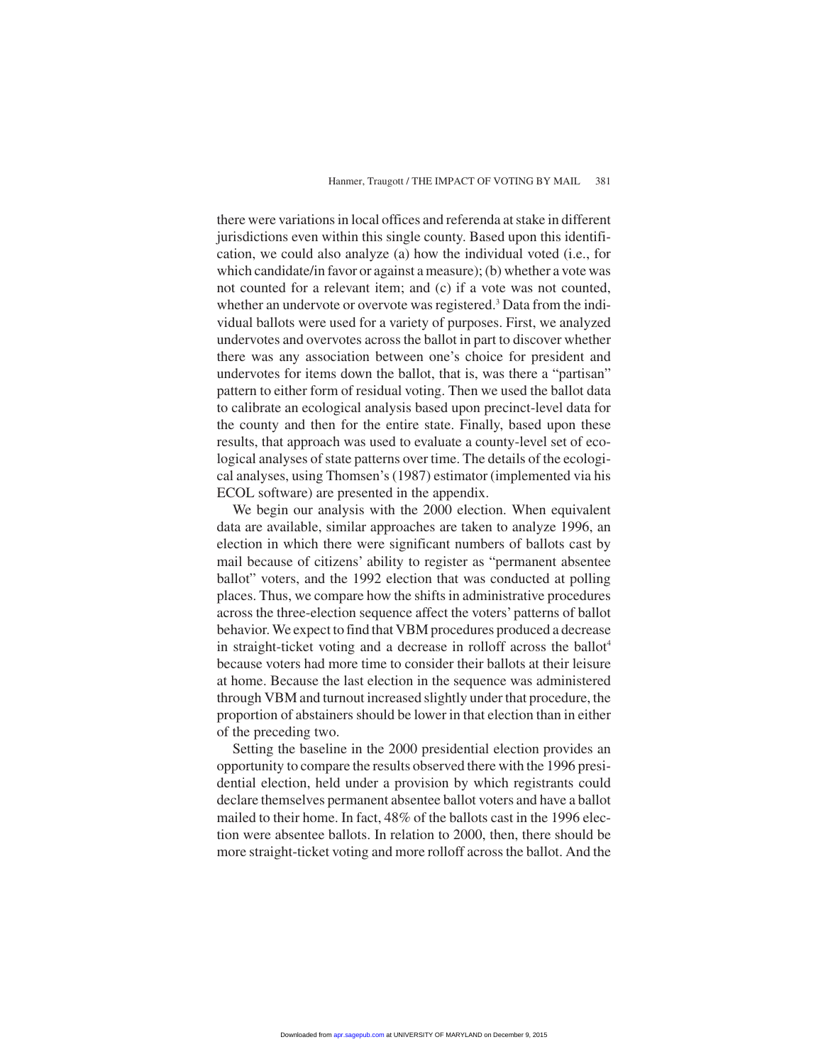there were variations in local offices and referenda at stake in different jurisdictions even within this single county. Based upon this identification, we could also analyze (a) how the individual voted (i.e., for which candidate/in favor or against a measure); (b) whether a vote was not counted for a relevant item; and (c) if a vote was not counted, whether an undervote or overvote was registered.<sup>3</sup> Data from the individual ballots were used for a variety of purposes. First, we analyzed undervotes and overvotes across the ballot in part to discover whether there was any association between one's choice for president and undervotes for items down the ballot, that is, was there a "partisan" pattern to either form of residual voting. Then we used the ballot data to calibrate an ecological analysis based upon precinct-level data for the county and then for the entire state. Finally, based upon these results, that approach was used to evaluate a county-level set of ecological analyses of state patterns over time. The details of the ecological analyses, using Thomsen's (1987) estimator (implemented via his ECOL software) are presented in the appendix.

We begin our analysis with the 2000 election. When equivalent data are available, similar approaches are taken to analyze 1996, an election in which there were significant numbers of ballots cast by mail because of citizens' ability to register as "permanent absentee ballot" voters, and the 1992 election that was conducted at polling places. Thus, we compare how the shifts in administrative procedures across the three-election sequence affect the voters' patterns of ballot behavior. We expect to find that VBM procedures produced a decrease in straight-ticket voting and a decrease in rolloff across the ballot<sup>4</sup> because voters had more time to consider their ballots at their leisure at home. Because the last election in the sequence was administered through VBM and turnout increased slightly under that procedure, the proportion of abstainers should be lower in that election than in either of the preceding two.

Setting the baseline in the 2000 presidential election provides an opportunity to compare the results observed there with the 1996 presidential election, held under a provision by which registrants could declare themselves permanent absentee ballot voters and have a ballot mailed to their home. In fact, 48% of the ballots cast in the 1996 election were absentee ballots. In relation to 2000, then, there should be more straight-ticket voting and more rolloff across the ballot. And the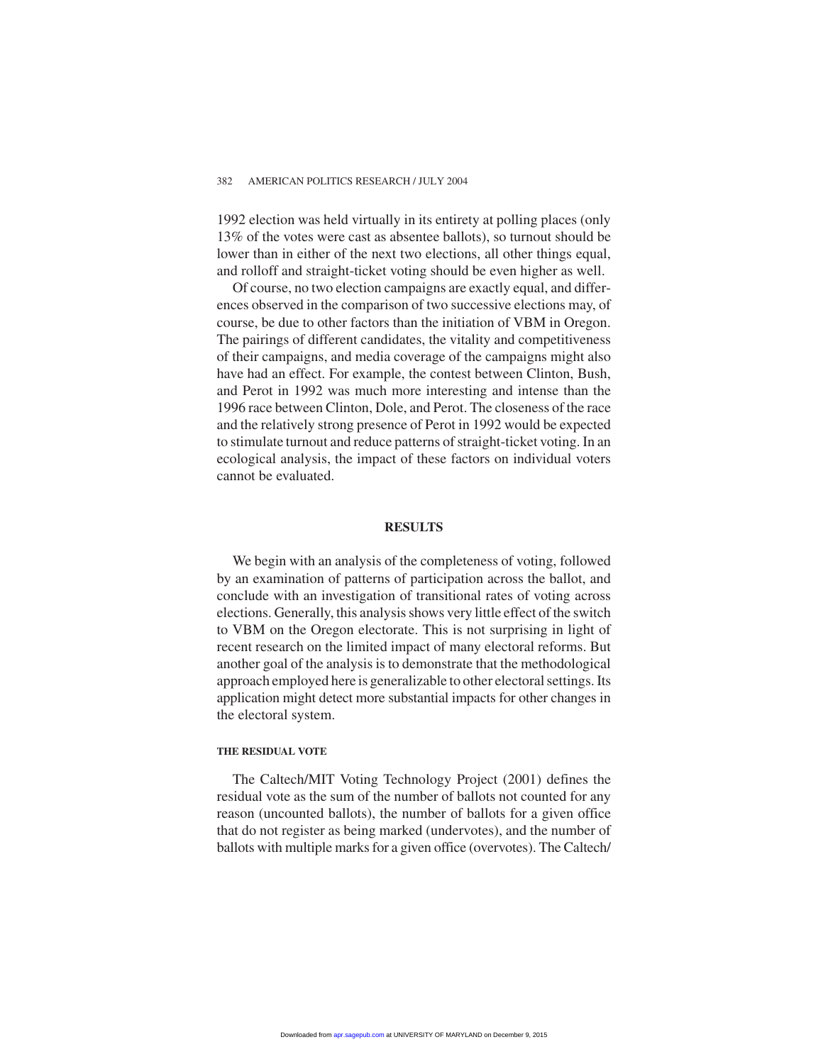1992 election was held virtually in its entirety at polling places (only 13% of the votes were cast as absentee ballots), so turnout should be lower than in either of the next two elections, all other things equal, and rolloff and straight-ticket voting should be even higher as well.

Of course, no two election campaigns are exactly equal, and differences observed in the comparison of two successive elections may, of course, be due to other factors than the initiation of VBM in Oregon. The pairings of different candidates, the vitality and competitiveness of their campaigns, and media coverage of the campaigns might also have had an effect. For example, the contest between Clinton, Bush, and Perot in 1992 was much more interesting and intense than the 1996 race between Clinton, Dole, and Perot. The closeness of the race and the relatively strong presence of Perot in 1992 would be expected to stimulate turnout and reduce patterns of straight-ticket voting. In an ecological analysis, the impact of these factors on individual voters cannot be evaluated.

### **RESULTS**

We begin with an analysis of the completeness of voting, followed by an examination of patterns of participation across the ballot, and conclude with an investigation of transitional rates of voting across elections. Generally, this analysis shows very little effect of the switch to VBM on the Oregon electorate. This is not surprising in light of recent research on the limited impact of many electoral reforms. But another goal of the analysis is to demonstrate that the methodological approach employed here is generalizable to other electoral settings. Its application might detect more substantial impacts for other changes in the electoral system.

### **THE RESIDUAL VOTE**

The Caltech/MIT Voting Technology Project (2001) defines the residual vote as the sum of the number of ballots not counted for any reason (uncounted ballots), the number of ballots for a given office that do not register as being marked (undervotes), and the number of ballots with multiple marks for a given office (overvotes). The Caltech/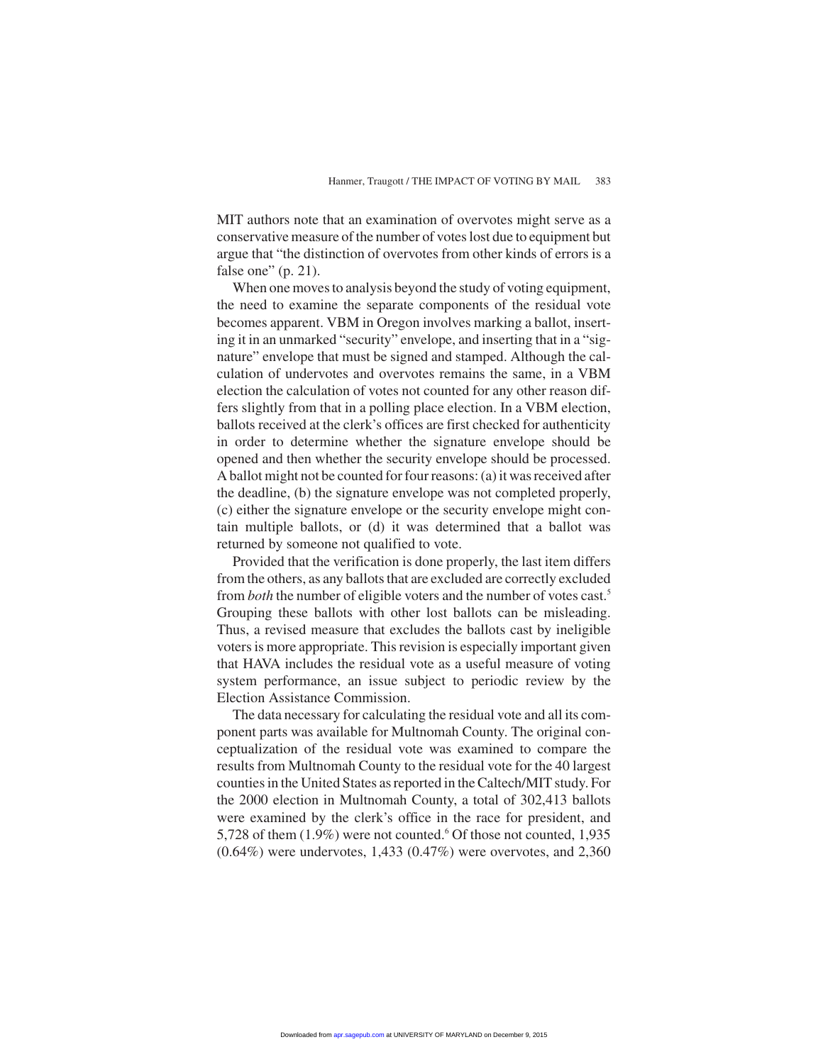MIT authors note that an examination of overvotes might serve as a conservative measure of the number of votes lost due to equipment but argue that "the distinction of overvotes from other kinds of errors is a false one" (p. 21).

When one moves to analysis beyond the study of voting equipment, the need to examine the separate components of the residual vote becomes apparent. VBM in Oregon involves marking a ballot, inserting it in an unmarked "security" envelope, and inserting that in a "signature" envelope that must be signed and stamped. Although the calculation of undervotes and overvotes remains the same, in a VBM election the calculation of votes not counted for any other reason differs slightly from that in a polling place election. In a VBM election, ballots received at the clerk's offices are first checked for authenticity in order to determine whether the signature envelope should be opened and then whether the security envelope should be processed. A ballot might not be counted for four reasons: (a) it was received after the deadline, (b) the signature envelope was not completed properly, (c) either the signature envelope or the security envelope might contain multiple ballots, or (d) it was determined that a ballot was returned by someone not qualified to vote.

Provided that the verification is done properly, the last item differs from the others, as any ballots that are excluded are correctly excluded from *both* the number of eligible voters and the number of votes cast.5 Grouping these ballots with other lost ballots can be misleading. Thus, a revised measure that excludes the ballots cast by ineligible voters is more appropriate. This revision is especially important given that HAVA includes the residual vote as a useful measure of voting system performance, an issue subject to periodic review by the Election Assistance Commission.

The data necessary for calculating the residual vote and all its component parts was available for Multnomah County. The original conceptualization of the residual vote was examined to compare the results from Multnomah County to the residual vote for the 40 largest counties in the United States as reported in the Caltech/MIT study. For the 2000 election in Multnomah County, a total of 302,413 ballots were examined by the clerk's office in the race for president, and 5,728 of them  $(1.9\%)$  were not counted.<sup>6</sup> Of those not counted, 1,935 (0.64%) were undervotes, 1,433 (0.47%) were overvotes, and 2,360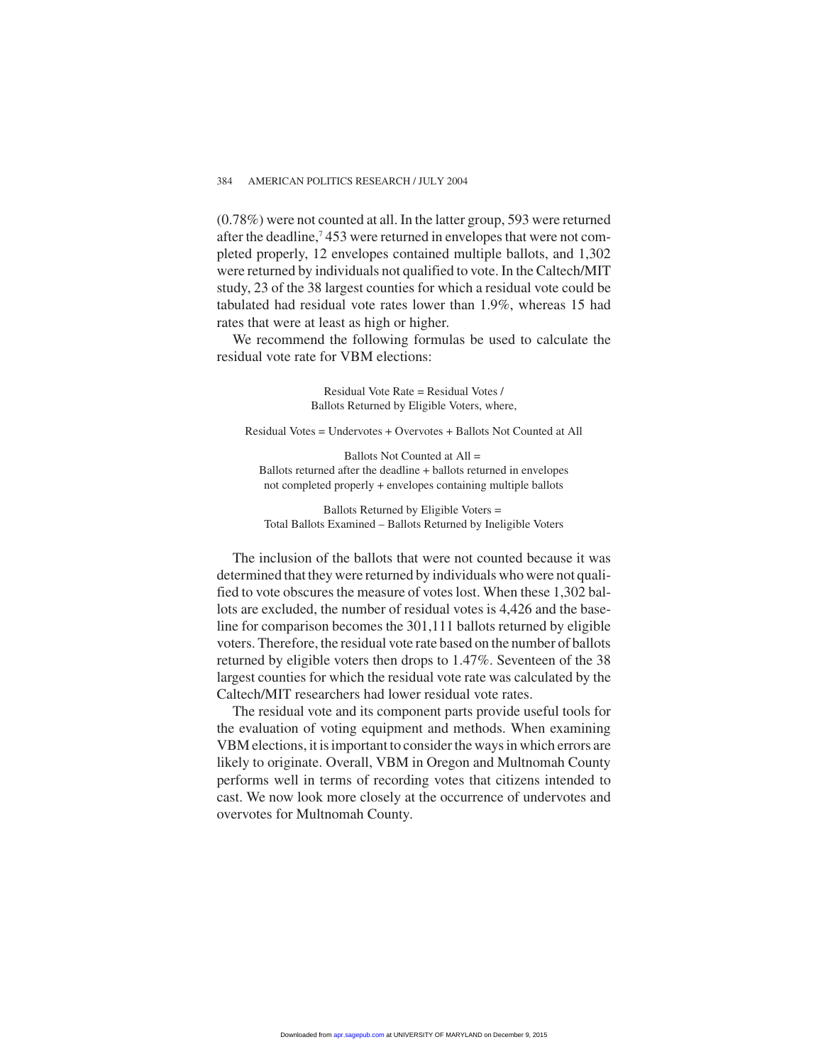(0.78%) were not counted at all. In the latter group, 593 were returned after the deadline,<sup>7</sup> 453 were returned in envelopes that were not completed properly, 12 envelopes contained multiple ballots, and 1,302 were returned by individuals not qualified to vote. In the Caltech/MIT study, 23 of the 38 largest counties for which a residual vote could be tabulated had residual vote rates lower than 1.9%, whereas 15 had rates that were at least as high or higher.

We recommend the following formulas be used to calculate the residual vote rate for VBM elections:

> Residual Vote Rate = Residual Votes / Ballots Returned by Eligible Voters, where,

Residual Votes = Undervotes + Overvotes + Ballots Not Counted at All

Ballots Not Counted at All = Ballots returned after the deadline + ballots returned in envelopes not completed properly + envelopes containing multiple ballots

Ballots Returned by Eligible Voters = Total Ballots Examined – Ballots Returned by Ineligible Voters

The inclusion of the ballots that were not counted because it was determined that they were returned by individuals who were not qualified to vote obscures the measure of votes lost. When these 1,302 ballots are excluded, the number of residual votes is 4,426 and the baseline for comparison becomes the 301,111 ballots returned by eligible voters. Therefore, the residual vote rate based on the number of ballots returned by eligible voters then drops to 1.47%. Seventeen of the 38 largest counties for which the residual vote rate was calculated by the Caltech/MIT researchers had lower residual vote rates.

The residual vote and its component parts provide useful tools for the evaluation of voting equipment and methods. When examining VBM elections, it is important to consider the ways in which errors are likely to originate. Overall, VBM in Oregon and Multnomah County performs well in terms of recording votes that citizens intended to cast. We now look more closely at the occurrence of undervotes and overvotes for Multnomah County.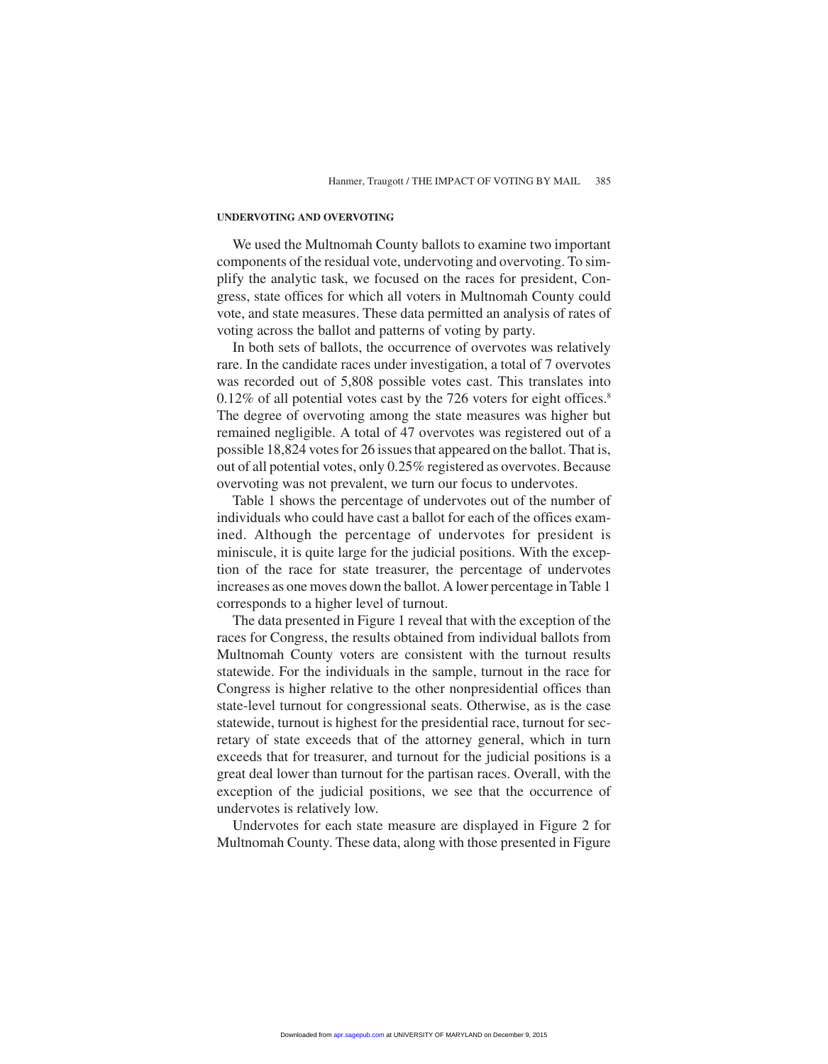### **UNDERVOTING AND OVERVOTING**

We used the Multnomah County ballots to examine two important components of the residual vote, undervoting and overvoting. To simplify the analytic task, we focused on the races for president, Congress, state offices for which all voters in Multnomah County could vote, and state measures. These data permitted an analysis of rates of voting across the ballot and patterns of voting by party.

In both sets of ballots, the occurrence of overvotes was relatively rare. In the candidate races under investigation, a total of 7 overvotes was recorded out of 5,808 possible votes cast. This translates into  $0.12\%$  of all potential votes cast by the 726 voters for eight offices.<sup>8</sup> The degree of overvoting among the state measures was higher but remained negligible. A total of 47 overvotes was registered out of a possible 18,824 votes for 26 issues that appeared on the ballot. That is, out of all potential votes, only 0.25% registered as overvotes. Because overvoting was not prevalent, we turn our focus to undervotes.

Table 1 shows the percentage of undervotes out of the number of individuals who could have cast a ballot for each of the offices examined. Although the percentage of undervotes for president is miniscule, it is quite large for the judicial positions. With the exception of the race for state treasurer, the percentage of undervotes increases as one moves down the ballot. A lower percentage in Table 1 corresponds to a higher level of turnout.

The data presented in Figure 1 reveal that with the exception of the races for Congress, the results obtained from individual ballots from Multnomah County voters are consistent with the turnout results statewide. For the individuals in the sample, turnout in the race for Congress is higher relative to the other nonpresidential offices than state-level turnout for congressional seats. Otherwise, as is the case statewide, turnout is highest for the presidential race, turnout for secretary of state exceeds that of the attorney general, which in turn exceeds that for treasurer, and turnout for the judicial positions is a great deal lower than turnout for the partisan races. Overall, with the exception of the judicial positions, we see that the occurrence of undervotes is relatively low.

Undervotes for each state measure are displayed in Figure 2 for Multnomah County. These data, along with those presented in Figure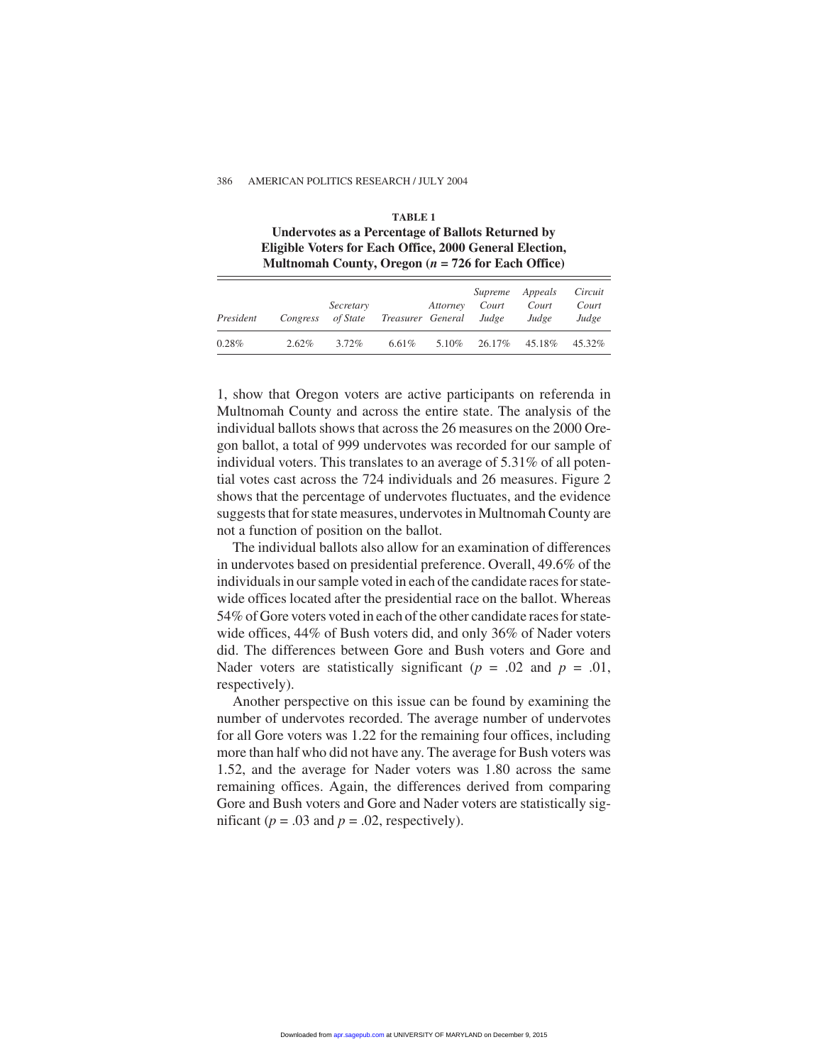**TABLE 1 Undervotes as a Percentage of Ballots Returned by Eligible Voters for Each Office, 2000 General Election, Multnomah County, Oregon (***n* **= 726 for Each Office)**

| President | Congress | Secretary<br>of State | Treasurer General Judge | Attorney | Supreme Appeals<br>Court | Court<br>Judge | Circuit<br>Court<br>Judge |
|-----------|----------|-----------------------|-------------------------|----------|--------------------------|----------------|---------------------------|
| 0.28%     | $2.62\%$ | $3.72\%$              | 6.61%                   | 5.10%    | 26.17%                   | 45.18%         | 45.32%                    |

1, show that Oregon voters are active participants on referenda in Multnomah County and across the entire state. The analysis of the individual ballots shows that across the 26 measures on the 2000 Oregon ballot, a total of 999 undervotes was recorded for our sample of individual voters. This translates to an average of 5.31% of all potential votes cast across the 724 individuals and 26 measures. Figure 2 shows that the percentage of undervotes fluctuates, and the evidence suggests that for state measures, undervotes in Multnomah County are not a function of position on the ballot.

The individual ballots also allow for an examination of differences in undervotes based on presidential preference. Overall, 49.6% of the individuals in our sample voted in each of the candidate races for statewide offices located after the presidential race on the ballot. Whereas 54% of Gore voters voted in each of the other candidate races for statewide offices, 44% of Bush voters did, and only 36% of Nader voters did. The differences between Gore and Bush voters and Gore and Nader voters are statistically significant ( $p = .02$  and  $p = .01$ , respectively).

Another perspective on this issue can be found by examining the number of undervotes recorded. The average number of undervotes for all Gore voters was 1.22 for the remaining four offices, including more than half who did not have any. The average for Bush voters was 1.52, and the average for Nader voters was 1.80 across the same remaining offices. Again, the differences derived from comparing Gore and Bush voters and Gore and Nader voters are statistically significant ( $p = .03$  and  $p = .02$ , respectively).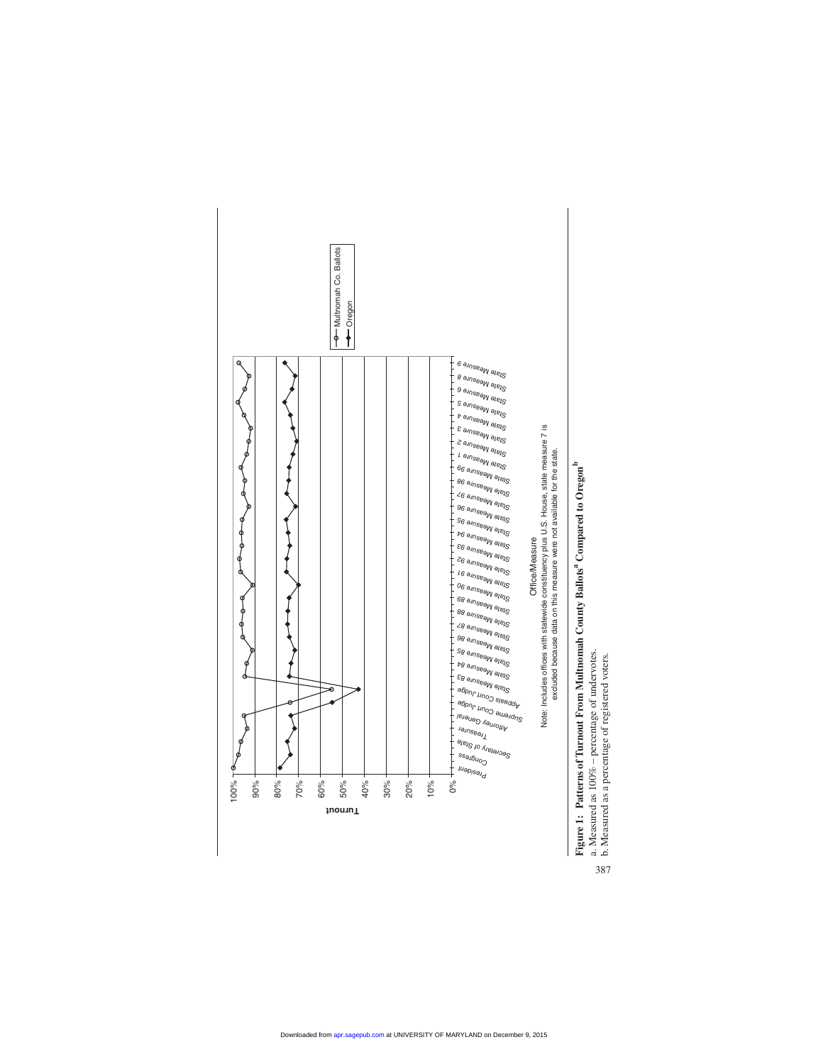



a. Measured as  $100\%$  – percentage of undervotes.<br>b. Measured as a percentage of registered voters. a. Measured as  $100\%$  – percentage of undervotes. b. Measured as a percentage of registered voters.

387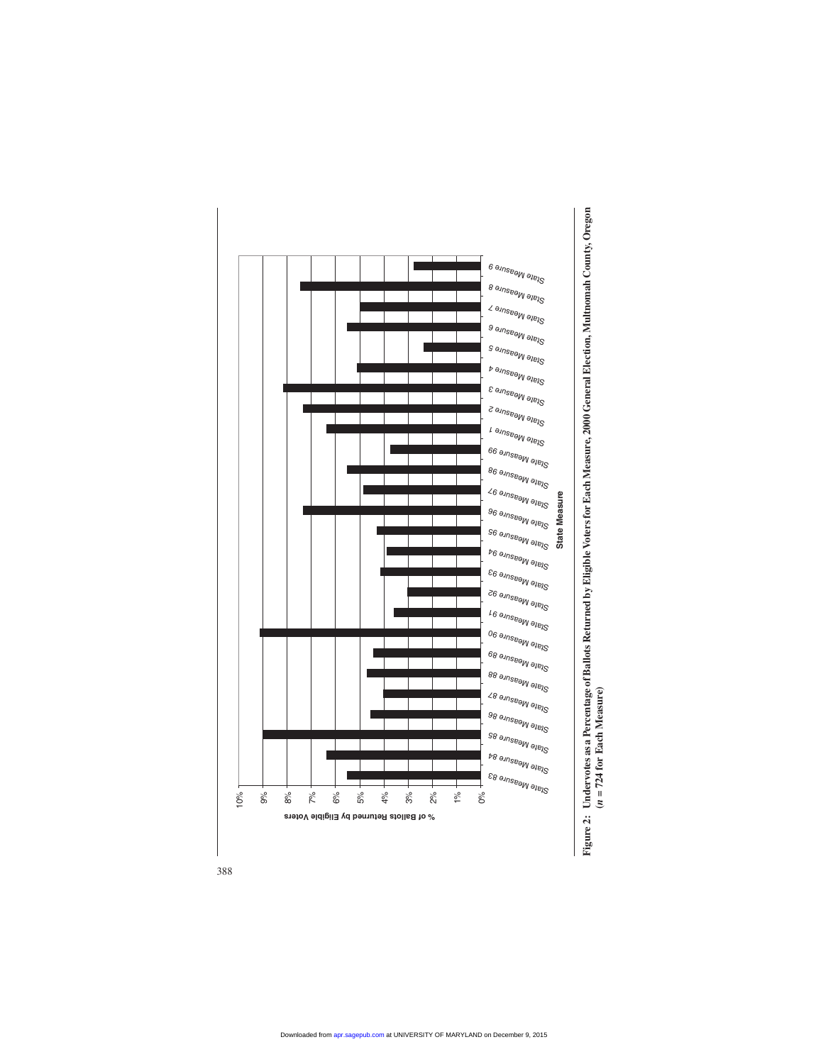



388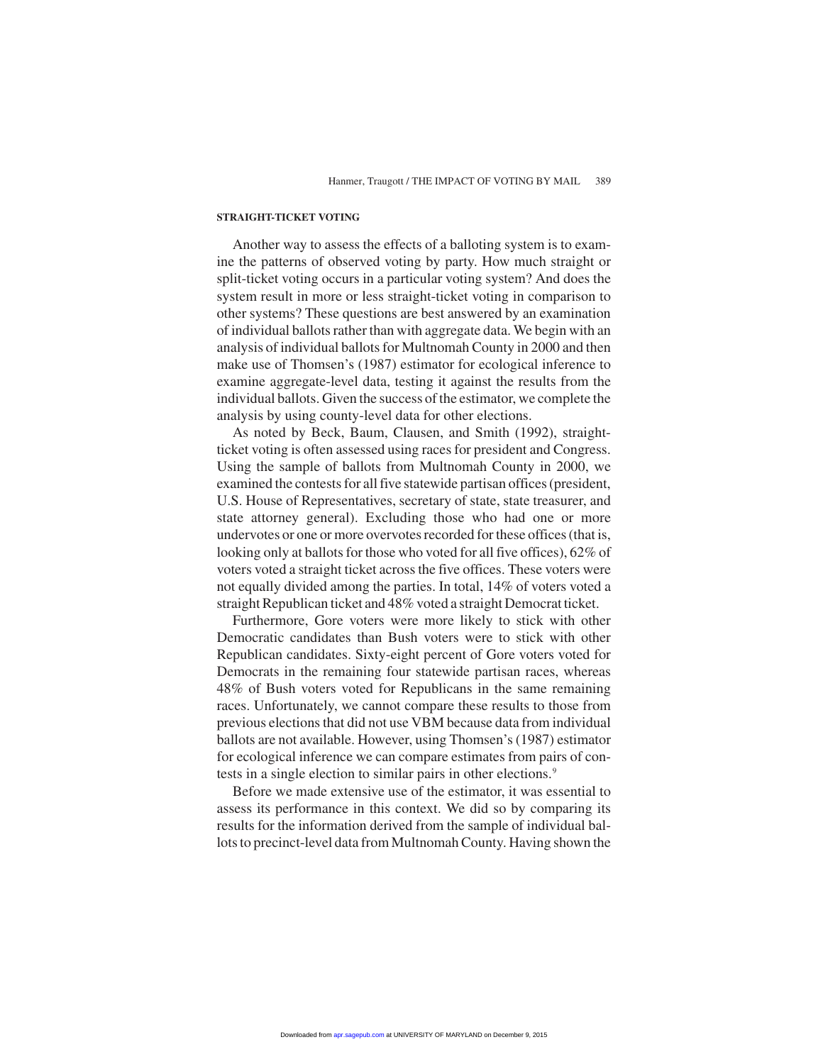### **STRAIGHT-TICKET VOTING**

Another way to assess the effects of a balloting system is to examine the patterns of observed voting by party. How much straight or split-ticket voting occurs in a particular voting system? And does the system result in more or less straight-ticket voting in comparison to other systems? These questions are best answered by an examination of individual ballots rather than with aggregate data. We begin with an analysis of individual ballots for Multnomah County in 2000 and then make use of Thomsen's (1987) estimator for ecological inference to examine aggregate-level data, testing it against the results from the individual ballots. Given the success of the estimator, we complete the analysis by using county-level data for other elections.

As noted by Beck, Baum, Clausen, and Smith (1992), straightticket voting is often assessed using races for president and Congress. Using the sample of ballots from Multnomah County in 2000, we examined the contests for all five statewide partisan offices (president, U.S. House of Representatives, secretary of state, state treasurer, and state attorney general). Excluding those who had one or more undervotes or one or more overvotes recorded for these offices (that is, looking only at ballots for those who voted for all five offices), 62% of voters voted a straight ticket across the five offices. These voters were not equally divided among the parties. In total, 14% of voters voted a straight Republican ticket and 48% voted a straight Democrat ticket.

Furthermore, Gore voters were more likely to stick with other Democratic candidates than Bush voters were to stick with other Republican candidates. Sixty-eight percent of Gore voters voted for Democrats in the remaining four statewide partisan races, whereas 48% of Bush voters voted for Republicans in the same remaining races. Unfortunately, we cannot compare these results to those from previous elections that did not use VBM because data from individual ballots are not available. However, using Thomsen's (1987) estimator for ecological inference we can compare estimates from pairs of contests in a single election to similar pairs in other elections.<sup>9</sup>

Before we made extensive use of the estimator, it was essential to assess its performance in this context. We did so by comparing its results for the information derived from the sample of individual ballots to precinct-level data from Multnomah County. Having shown the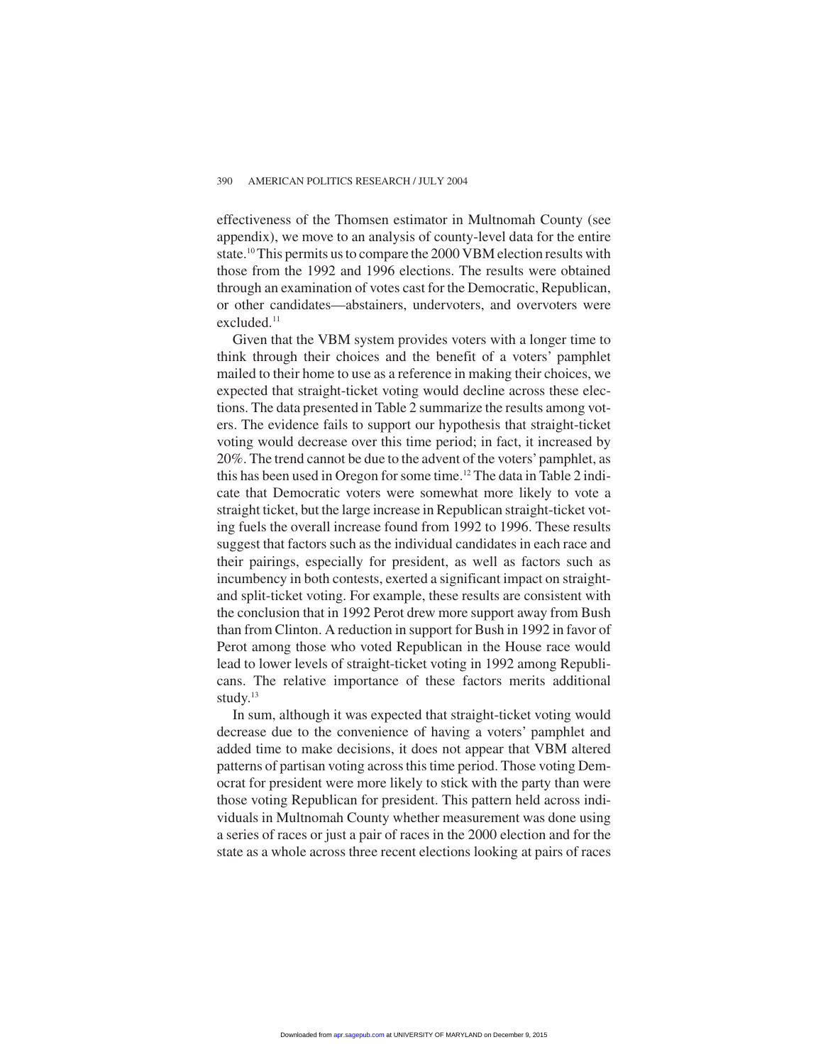effectiveness of the Thomsen estimator in Multnomah County (see appendix), we move to an analysis of county-level data for the entire state.10This permits us to compare the 2000 VBM election results with those from the 1992 and 1996 elections. The results were obtained through an examination of votes cast for the Democratic, Republican, or other candidates—abstainers, undervoters, and overvoters were excluded.<sup>11</sup>

Given that the VBM system provides voters with a longer time to think through their choices and the benefit of a voters' pamphlet mailed to their home to use as a reference in making their choices, we expected that straight-ticket voting would decline across these elections. The data presented in Table 2 summarize the results among voters. The evidence fails to support our hypothesis that straight-ticket voting would decrease over this time period; in fact, it increased by 20%. The trend cannot be due to the advent of the voters'pamphlet, as this has been used in Oregon for some time.12 The data in Table 2 indicate that Democratic voters were somewhat more likely to vote a straight ticket, but the large increase in Republican straight-ticket voting fuels the overall increase found from 1992 to 1996. These results suggest that factors such as the individual candidates in each race and their pairings, especially for president, as well as factors such as incumbency in both contests, exerted a significant impact on straightand split-ticket voting. For example, these results are consistent with the conclusion that in 1992 Perot drew more support away from Bush than from Clinton. A reduction in support for Bush in 1992 in favor of Perot among those who voted Republican in the House race would lead to lower levels of straight-ticket voting in 1992 among Republicans. The relative importance of these factors merits additional study.<sup>13</sup>

In sum, although it was expected that straight-ticket voting would decrease due to the convenience of having a voters' pamphlet and added time to make decisions, it does not appear that VBM altered patterns of partisan voting across this time period. Those voting Democrat for president were more likely to stick with the party than were those voting Republican for president. This pattern held across individuals in Multnomah County whether measurement was done using a series of races or just a pair of races in the 2000 election and for the state as a whole across three recent elections looking at pairs of races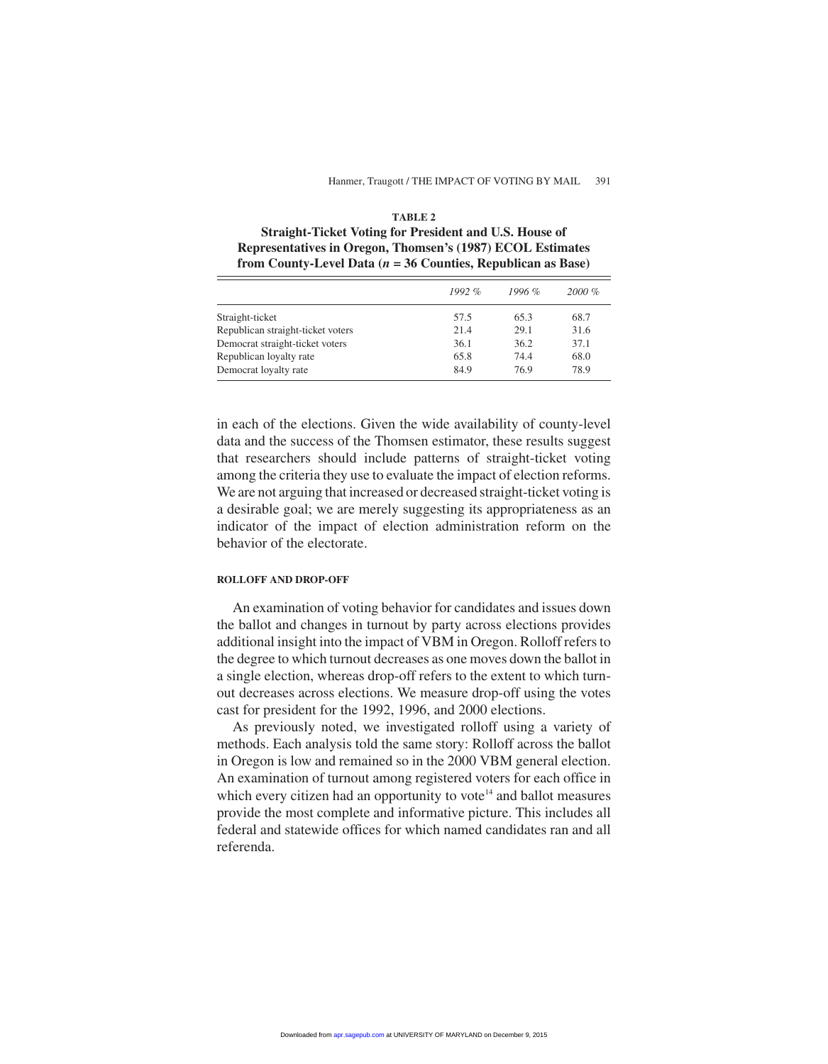**TABLE 2 Straight-Ticket Voting for President and U.S. House of Representatives in Oregon, Thomsen's (1987) ECOL Estimates from County-Level Data (***n* **= 36 Counties, Republican as Base)**

|                                   | $1992\%$ | 1996 $%$ | $2000\%$ |
|-----------------------------------|----------|----------|----------|
| Straight-ticket                   | 57.5     | 65.3     | 68.7     |
| Republican straight-ticket voters | 21.4     | 29.1     | 31.6     |
| Democrat straight-ticket voters   | 36.1     | 36.2     | 37.1     |
| Republican loyalty rate           | 65.8     | 74.4     | 68.0     |
| Democrat loyalty rate             | 84.9     | 76.9     | 78.9     |

in each of the elections. Given the wide availability of county-level data and the success of the Thomsen estimator, these results suggest that researchers should include patterns of straight-ticket voting among the criteria they use to evaluate the impact of election reforms. We are not arguing that increased or decreased straight-ticket voting is a desirable goal; we are merely suggesting its appropriateness as an indicator of the impact of election administration reform on the behavior of the electorate.

### **ROLLOFF AND DROP-OFF**

An examination of voting behavior for candidates and issues down the ballot and changes in turnout by party across elections provides additional insight into the impact of VBM in Oregon. Rolloff refers to the degree to which turnout decreases as one moves down the ballot in a single election, whereas drop-off refers to the extent to which turnout decreases across elections. We measure drop-off using the votes cast for president for the 1992, 1996, and 2000 elections.

As previously noted, we investigated rolloff using a variety of methods. Each analysis told the same story: Rolloff across the ballot in Oregon is low and remained so in the 2000 VBM general election. An examination of turnout among registered voters for each office in which every citizen had an opportunity to vote<sup> $14$ </sup> and ballot measures provide the most complete and informative picture. This includes all federal and statewide offices for which named candidates ran and all referenda.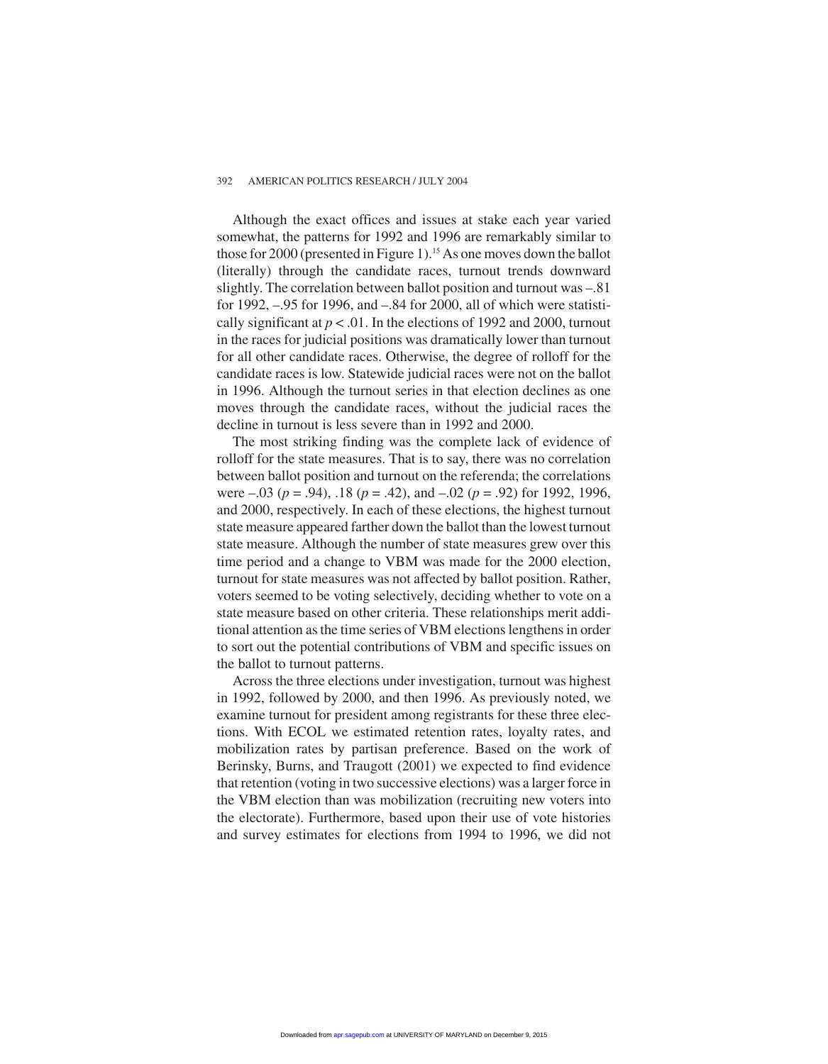Although the exact offices and issues at stake each year varied somewhat, the patterns for 1992 and 1996 are remarkably similar to those for 2000 (presented in Figure 1).<sup>15</sup> As one moves down the ballot (literally) through the candidate races, turnout trends downward slightly. The correlation between ballot position and turnout was –.81 for 1992, –.95 for 1996, and –.84 for 2000, all of which were statistically significant at  $p < 0.01$ . In the elections of 1992 and 2000, turnout in the races for judicial positions was dramatically lower than turnout for all other candidate races. Otherwise, the degree of rolloff for the candidate races is low. Statewide judicial races were not on the ballot in 1996. Although the turnout series in that election declines as one moves through the candidate races, without the judicial races the decline in turnout is less severe than in 1992 and 2000.

The most striking finding was the complete lack of evidence of rolloff for the state measures. That is to say, there was no correlation between ballot position and turnout on the referenda; the correlations were –.03 (*p* = .94), .18 (*p* = .42), and –.02 (*p* = .92) for 1992, 1996, and 2000, respectively. In each of these elections, the highest turnout state measure appeared farther down the ballot than the lowest turnout state measure. Although the number of state measures grew over this time period and a change to VBM was made for the 2000 election, turnout for state measures was not affected by ballot position. Rather, voters seemed to be voting selectively, deciding whether to vote on a state measure based on other criteria. These relationships merit additional attention as the time series of VBM elections lengthens in order to sort out the potential contributions of VBM and specific issues on the ballot to turnout patterns.

Across the three elections under investigation, turnout was highest in 1992, followed by 2000, and then 1996. As previously noted, we examine turnout for president among registrants for these three elections. With ECOL we estimated retention rates, loyalty rates, and mobilization rates by partisan preference. Based on the work of Berinsky, Burns, and Traugott (2001) we expected to find evidence that retention (voting in two successive elections) was a larger force in the VBM election than was mobilization (recruiting new voters into the electorate). Furthermore, based upon their use of vote histories and survey estimates for elections from 1994 to 1996, we did not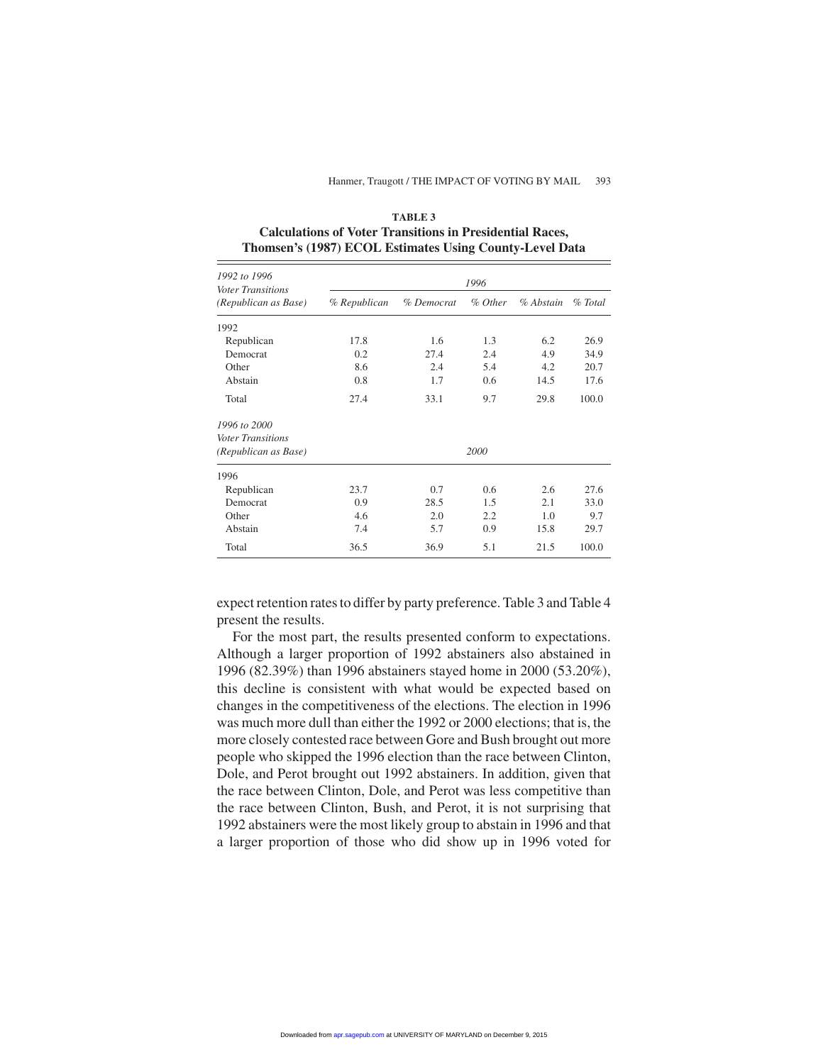**TABLE 3 Calculations of Voter Transitions in Presidential Races, Thomsen's (1987) ECOL Estimates Using County-Level Data**

| 1992 to 1996<br><b>Voter Transitions</b> |              |            | 1996      |           |         |
|------------------------------------------|--------------|------------|-----------|-----------|---------|
| (Republican as Base)                     | % Republican | % Democrat | $%$ Other | % Abstain | % Total |
| 1992                                     |              |            |           |           |         |
| Republican                               | 17.8         | 1.6        | 1.3       | 6.2       | 26.9    |
| Democrat                                 | 0.2          | 27.4       | 2.4       | 4.9       | 34.9    |
| Other                                    | 8.6          | 2.4        | 5.4       | 4.2       | 20.7    |
| Abstain                                  | 0.8          | 1.7        | 0.6       | 14.5      | 17.6    |
| Total                                    | 27.4         | 33.1       | 9.7       | 29.8      | 100.0   |
| 1996 to 2000                             |              |            |           |           |         |
| <b>Voter Transitions</b>                 |              |            |           |           |         |
| (Republican as Base)                     |              |            | 2000      |           |         |
| 1996                                     |              |            |           |           |         |
| Republican                               | 23.7         | 0.7        | 0.6       | 2.6       | 27.6    |
| Democrat                                 | 0.9          | 28.5       | 1.5       | 2.1       | 33.0    |
| Other                                    | 4.6          | 2.0        | 2.2       | 1.0       | 9.7     |
| Abstain                                  | 7.4          | 5.7        | 0.9       | 15.8      | 29.7    |
| Total                                    | 36.5         | 36.9       | 5.1       | 21.5      | 100.0   |

expect retention rates to differ by party preference. Table 3 and Table 4 present the results.

For the most part, the results presented conform to expectations. Although a larger proportion of 1992 abstainers also abstained in 1996 (82.39%) than 1996 abstainers stayed home in 2000 (53.20%), this decline is consistent with what would be expected based on changes in the competitiveness of the elections. The election in 1996 was much more dull than either the 1992 or 2000 elections; that is, the more closely contested race between Gore and Bush brought out more people who skipped the 1996 election than the race between Clinton, Dole, and Perot brought out 1992 abstainers. In addition, given that the race between Clinton, Dole, and Perot was less competitive than the race between Clinton, Bush, and Perot, it is not surprising that 1992 abstainers were the most likely group to abstain in 1996 and that a larger proportion of those who did show up in 1996 voted for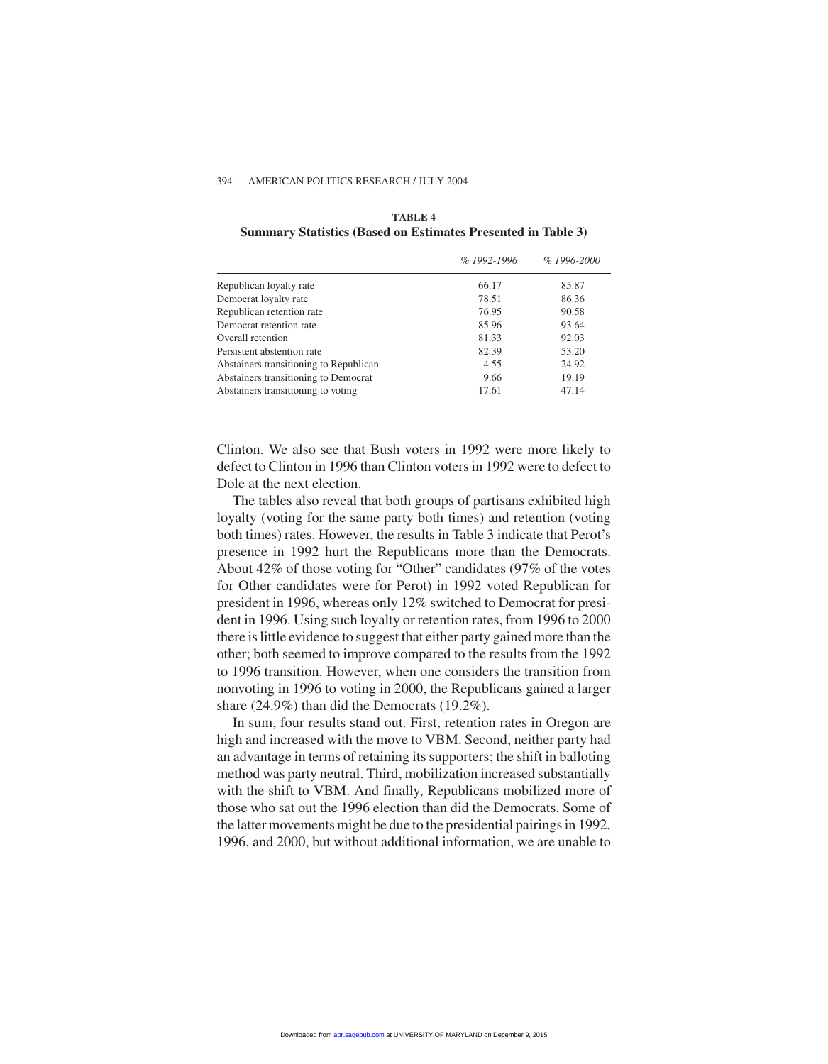| TABLE 4                                                             |
|---------------------------------------------------------------------|
| <b>Summary Statistics (Based on Estimates Presented in Table 3)</b> |

|                                        | % 1992-1996 | % 1996-2000 |
|----------------------------------------|-------------|-------------|
| Republican loyalty rate                | 66.17       | 85.87       |
| Democrat loyalty rate                  | 78.51       | 86.36       |
| Republican retention rate              | 76.95       | 90.58       |
| Democrat retention rate                | 85.96       | 93.64       |
| Overall retention                      | 81.33       | 92.03       |
| Persistent abstention rate             | 82.39       | 53.20       |
| Abstainers transitioning to Republican | 4.55        | 24.92       |
| Abstainers transitioning to Democrat   | 9.66        | 19.19       |
| Abstainers transitioning to voting     | 17.61       | 47.14       |

Clinton. We also see that Bush voters in 1992 were more likely to defect to Clinton in 1996 than Clinton voters in 1992 were to defect to Dole at the next election.

The tables also reveal that both groups of partisans exhibited high loyalty (voting for the same party both times) and retention (voting both times) rates. However, the results in Table 3 indicate that Perot's presence in 1992 hurt the Republicans more than the Democrats. About 42% of those voting for "Other" candidates (97% of the votes for Other candidates were for Perot) in 1992 voted Republican for president in 1996, whereas only 12% switched to Democrat for president in 1996. Using such loyalty or retention rates, from 1996 to 2000 there is little evidence to suggest that either party gained more than the other; both seemed to improve compared to the results from the 1992 to 1996 transition. However, when one considers the transition from nonvoting in 1996 to voting in 2000, the Republicans gained a larger share (24.9%) than did the Democrats (19.2%).

In sum, four results stand out. First, retention rates in Oregon are high and increased with the move to VBM. Second, neither party had an advantage in terms of retaining its supporters; the shift in balloting method was party neutral. Third, mobilization increased substantially with the shift to VBM. And finally, Republicans mobilized more of those who sat out the 1996 election than did the Democrats. Some of the latter movements might be due to the presidential pairings in 1992, 1996, and 2000, but without additional information, we are unable to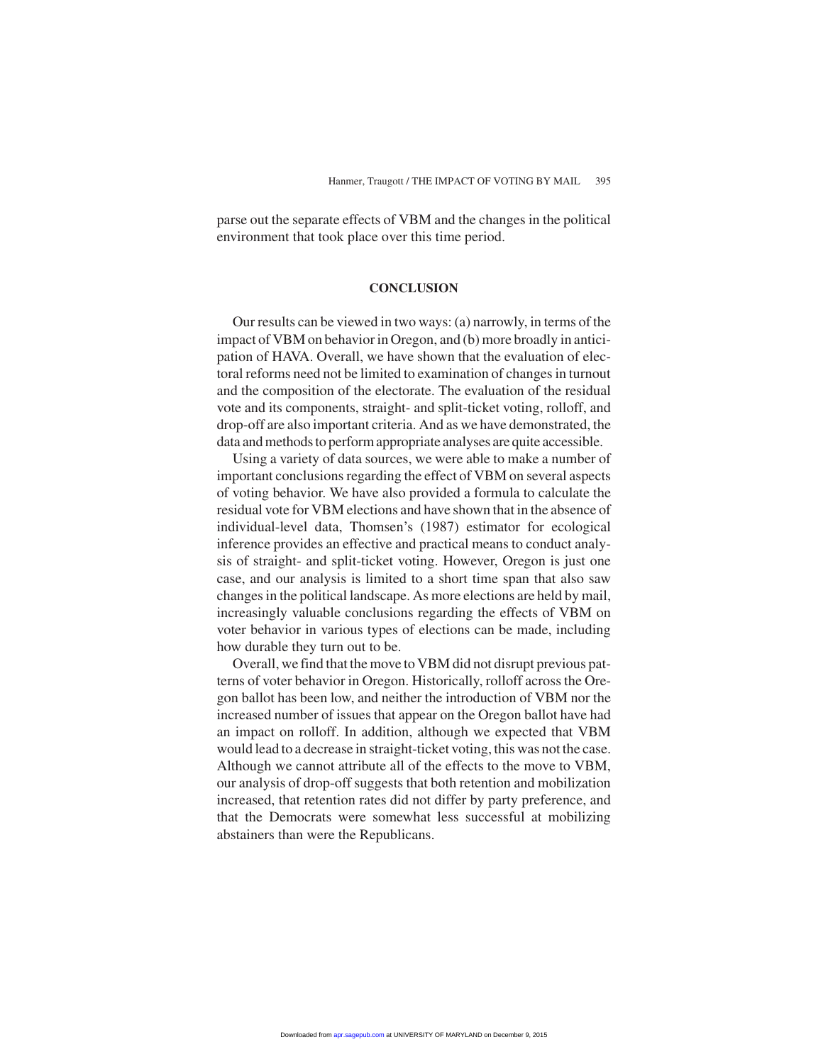parse out the separate effects of VBM and the changes in the political environment that took place over this time period.

## **CONCLUSION**

Our results can be viewed in two ways: (a) narrowly, in terms of the impact of VBM on behavior in Oregon, and (b) more broadly in anticipation of HAVA. Overall, we have shown that the evaluation of electoral reforms need not be limited to examination of changes in turnout and the composition of the electorate. The evaluation of the residual vote and its components, straight- and split-ticket voting, rolloff, and drop-off are also important criteria. And as we have demonstrated, the data and methods to perform appropriate analyses are quite accessible.

Using a variety of data sources, we were able to make a number of important conclusions regarding the effect of VBM on several aspects of voting behavior. We have also provided a formula to calculate the residual vote for VBM elections and have shown that in the absence of individual-level data, Thomsen's (1987) estimator for ecological inference provides an effective and practical means to conduct analysis of straight- and split-ticket voting. However, Oregon is just one case, and our analysis is limited to a short time span that also saw changes in the political landscape. As more elections are held by mail, increasingly valuable conclusions regarding the effects of VBM on voter behavior in various types of elections can be made, including how durable they turn out to be.

Overall, we find that the move to VBM did not disrupt previous patterns of voter behavior in Oregon. Historically, rolloff across the Oregon ballot has been low, and neither the introduction of VBM nor the increased number of issues that appear on the Oregon ballot have had an impact on rolloff. In addition, although we expected that VBM would lead to a decrease in straight-ticket voting, this was not the case. Although we cannot attribute all of the effects to the move to VBM, our analysis of drop-off suggests that both retention and mobilization increased, that retention rates did not differ by party preference, and that the Democrats were somewhat less successful at mobilizing abstainers than were the Republicans.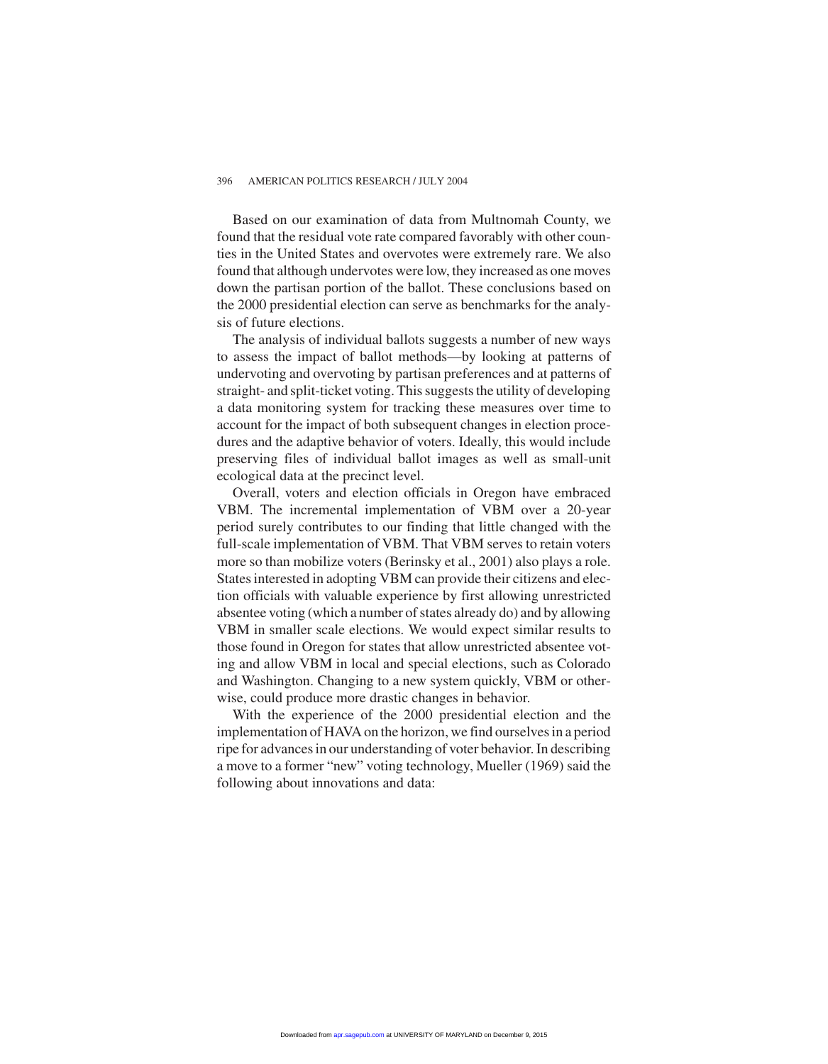Based on our examination of data from Multnomah County, we found that the residual vote rate compared favorably with other counties in the United States and overvotes were extremely rare. We also found that although undervotes were low, they increased as one moves down the partisan portion of the ballot. These conclusions based on the 2000 presidential election can serve as benchmarks for the analysis of future elections.

The analysis of individual ballots suggests a number of new ways to assess the impact of ballot methods—by looking at patterns of undervoting and overvoting by partisan preferences and at patterns of straight- and split-ticket voting. This suggests the utility of developing a data monitoring system for tracking these measures over time to account for the impact of both subsequent changes in election procedures and the adaptive behavior of voters. Ideally, this would include preserving files of individual ballot images as well as small-unit ecological data at the precinct level.

Overall, voters and election officials in Oregon have embraced VBM. The incremental implementation of VBM over a 20-year period surely contributes to our finding that little changed with the full-scale implementation of VBM. That VBM serves to retain voters more so than mobilize voters (Berinsky et al., 2001) also plays a role. States interested in adopting VBM can provide their citizens and election officials with valuable experience by first allowing unrestricted absentee voting (which a number of states already do) and by allowing VBM in smaller scale elections. We would expect similar results to those found in Oregon for states that allow unrestricted absentee voting and allow VBM in local and special elections, such as Colorado and Washington. Changing to a new system quickly, VBM or otherwise, could produce more drastic changes in behavior.

With the experience of the 2000 presidential election and the implementation of HAVA on the horizon, we find ourselves in a period ripe for advances in our understanding of voter behavior. In describing a move to a former "new" voting technology, Mueller (1969) said the following about innovations and data: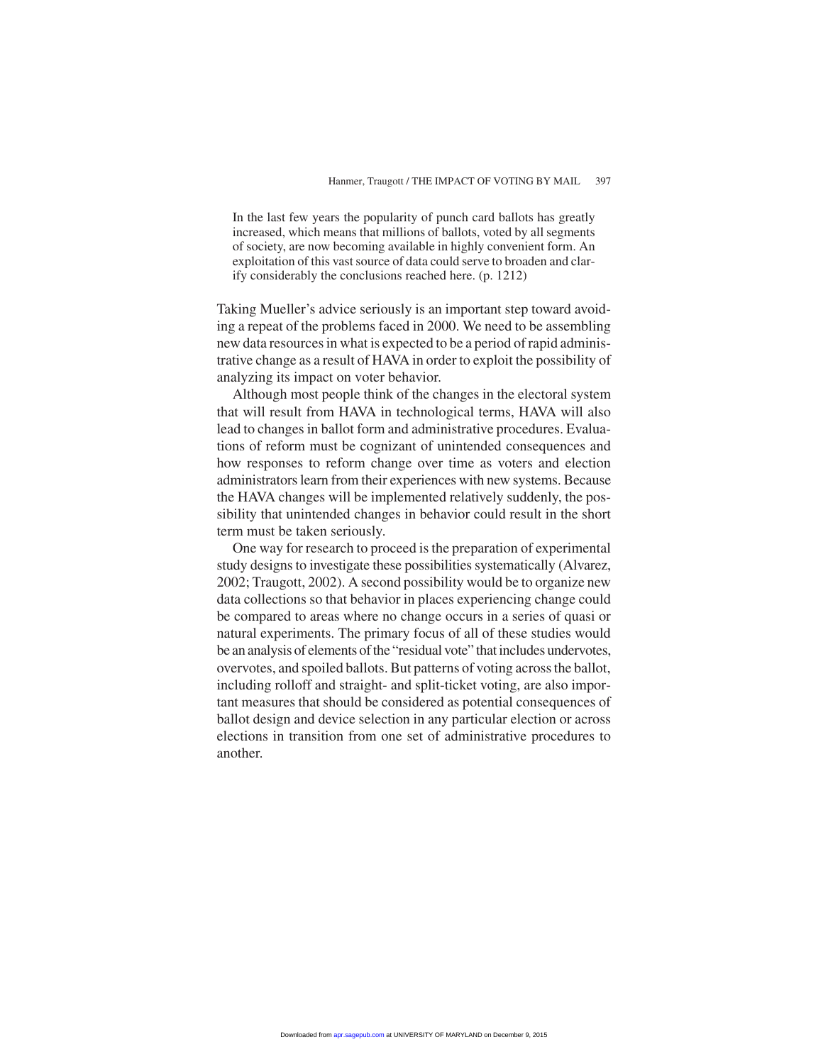In the last few years the popularity of punch card ballots has greatly increased, which means that millions of ballots, voted by all segments of society, are now becoming available in highly convenient form. An exploitation of this vast source of data could serve to broaden and clarify considerably the conclusions reached here. (p. 1212)

Taking Mueller's advice seriously is an important step toward avoiding a repeat of the problems faced in 2000. We need to be assembling new data resources in what is expected to be a period of rapid administrative change as a result of HAVA in order to exploit the possibility of analyzing its impact on voter behavior.

Although most people think of the changes in the electoral system that will result from HAVA in technological terms, HAVA will also lead to changes in ballot form and administrative procedures. Evaluations of reform must be cognizant of unintended consequences and how responses to reform change over time as voters and election administrators learn from their experiences with new systems. Because the HAVA changes will be implemented relatively suddenly, the possibility that unintended changes in behavior could result in the short term must be taken seriously.

One way for research to proceed is the preparation of experimental study designs to investigate these possibilities systematically (Alvarez, 2002; Traugott, 2002). A second possibility would be to organize new data collections so that behavior in places experiencing change could be compared to areas where no change occurs in a series of quasi or natural experiments. The primary focus of all of these studies would be an analysis of elements of the "residual vote" that includes undervotes, overvotes, and spoiled ballots. But patterns of voting across the ballot, including rolloff and straight- and split-ticket voting, are also important measures that should be considered as potential consequences of ballot design and device selection in any particular election or across elections in transition from one set of administrative procedures to another.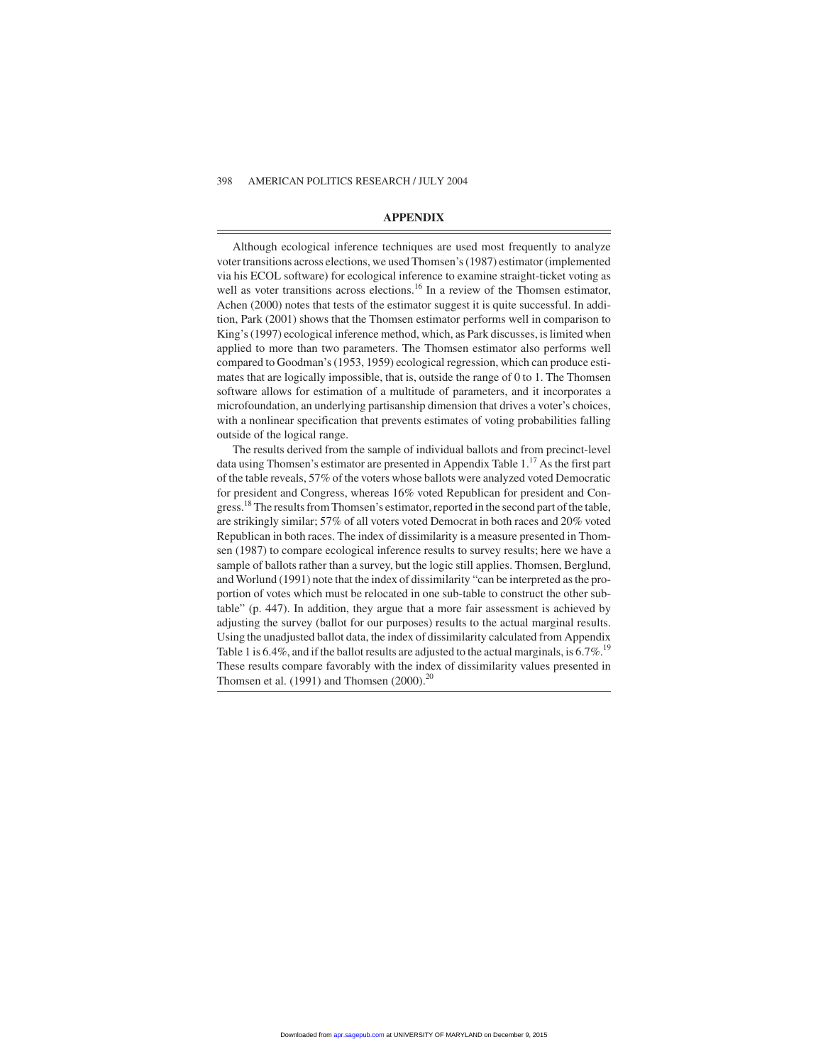### **APPENDIX**

Although ecological inference techniques are used most frequently to analyze voter transitions across elections, we used Thomsen's (1987) estimator (implemented via his ECOL software) for ecological inference to examine straight-ticket voting as well as voter transitions across elections.<sup>16</sup> In a review of the Thomsen estimator, Achen (2000) notes that tests of the estimator suggest it is quite successful. In addition, Park (2001) shows that the Thomsen estimator performs well in comparison to King's (1997) ecological inference method, which, as Park discusses, is limited when applied to more than two parameters. The Thomsen estimator also performs well compared to Goodman's (1953, 1959) ecological regression, which can produce estimates that are logically impossible, that is, outside the range of 0 to 1. The Thomsen software allows for estimation of a multitude of parameters, and it incorporates a microfoundation, an underlying partisanship dimension that drives a voter's choices, with a nonlinear specification that prevents estimates of voting probabilities falling outside of the logical range.

The results derived from the sample of individual ballots and from precinct-level data using Thomsen's estimator are presented in Appendix Table  $1<sup>17</sup>$  As the first part of the table reveals, 57% of the voters whose ballots were analyzed voted Democratic for president and Congress, whereas 16% voted Republican for president and Congress.<sup>18</sup> The results from Thomsen's estimator, reported in the second part of the table, are strikingly similar; 57% of all voters voted Democrat in both races and 20% voted Republican in both races. The index of dissimilarity is a measure presented in Thomsen (1987) to compare ecological inference results to survey results; here we have a sample of ballots rather than a survey, but the logic still applies. Thomsen, Berglund, and Worlund (1991) note that the index of dissimilarity "can be interpreted as the proportion of votes which must be relocated in one sub-table to construct the other subtable" (p. 447). In addition, they argue that a more fair assessment is achieved by adjusting the survey (ballot for our purposes) results to the actual marginal results. Using the unadjusted ballot data, the index of dissimilarity calculated from Appendix Table 1 is 6.4%, and if the ballot results are adjusted to the actual marginals, is  $6.7\%$ <sup>19</sup> These results compare favorably with the index of dissimilarity values presented in Thomsen et al.  $(1991)$  and Thomsen  $(2000)^{20}$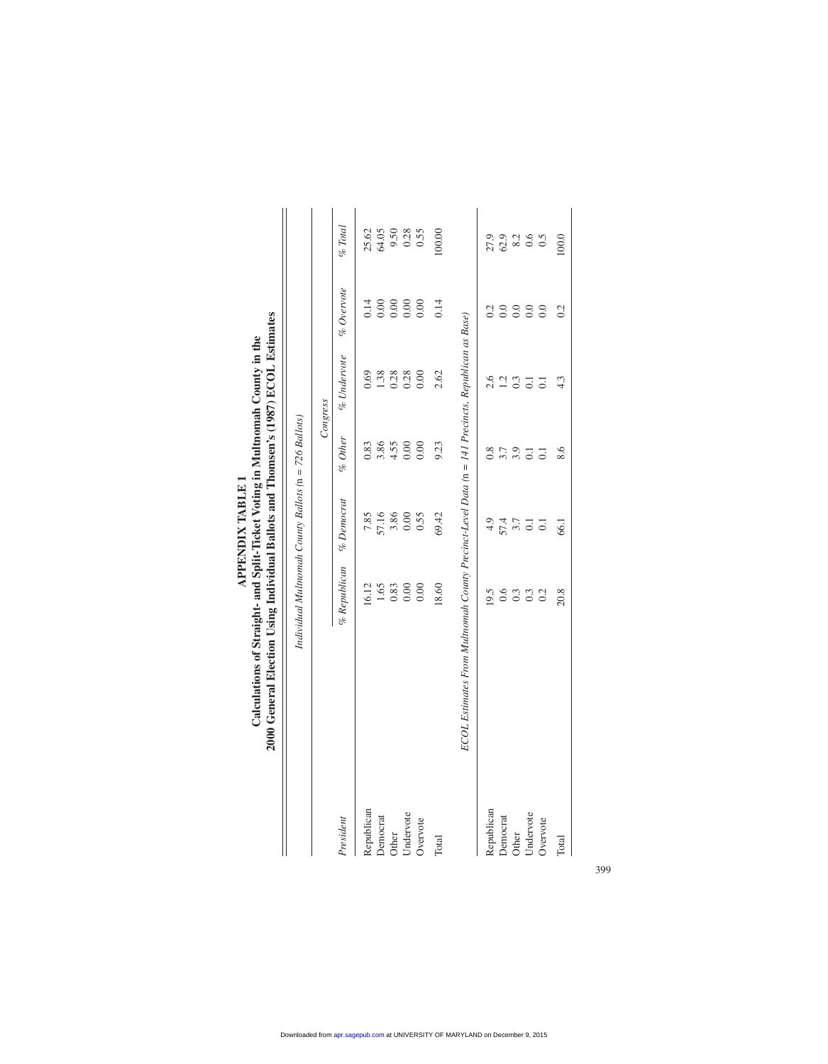|                                                                                                  | Individual Multnomah County Ballots (n = 726 Ballots) |                  |                  |                  |            |                       |
|--------------------------------------------------------------------------------------------------|-------------------------------------------------------|------------------|------------------|------------------|------------|-----------------------|
|                                                                                                  |                                                       |                  |                  | Congress         |            |                       |
| President                                                                                        | % Republican                                          | % Democrat       | % Other          | % Undervote      | % Overvote | $%$ Total             |
| Republican                                                                                       | 16.12                                                 | 7.85             | 0.83             | 0.69             | 0.14       |                       |
| Democrat                                                                                         |                                                       |                  | 3.86             | 1.38             | 0.00       | 25.62<br>0.55<br>0.28 |
| Other                                                                                            | $\frac{1.65}{0.83}$                                   | 57.16<br>3.86    | 4.55             | 0.28             | 0.00       |                       |
| Undervote                                                                                        | 0.00                                                  | $0.00\,$         | 0.00             | 0.28             | 0.00       |                       |
| Overvote                                                                                         | 0.00                                                  | 0.55             | 0.00             | 0.00             | 0.00       | 0.55                  |
| Total                                                                                            | 18.60                                                 | 69.42            | 9.23             | 2.62             | 0.14       | 100.00                |
| ECOL Estimates From Multnomah County Precinct-Level Data (n = 141 Precincts, Republican as Base) |                                                       |                  |                  |                  |            |                       |
| Republican                                                                                       | 19.5                                                  | $^{4.9}$         | $\frac{8}{1}$    | 2.6              | 0.2        | 27.9                  |
| Democrat                                                                                         | 0.6                                                   | 57.4             |                  | $1.2\,$          | 0.0        | 62.9                  |
| Other                                                                                            | 0.3                                                   | 3.7              | $3.7$<br>$3.9$   | 0.3              | 0.0        | 8.2                   |
| Undervote                                                                                        | $0.\overline{3}$                                      | $\overline{0.1}$ | $\overline{0}$ . | 0.1              | 0.0        | 0.6                   |
| Overvote                                                                                         | 0.2                                                   | $\overline{0}$   | $\overline{0}$ . | $\overline{0}$ . | 0.0        | 0.5                   |
| Total                                                                                            | 20.8                                                  | 66.1             | 8.6              | 4.3              | 0.2        | 100.0                 |

# APPENDIX TABLE 1<br>Calculations of Straight- and Split-Ticket Voting in Multnomah County in the<br>2000 General Election Using Individual Ballots and Thomsen's (1987) ECOL Estimates **2000 General Election Using Individual Ballots and Thomsen's (1987) ECOL Estimates Calculations of Straight- and Split-Ticket Voting in Multnomah County in the APPENDIX TABLE 1**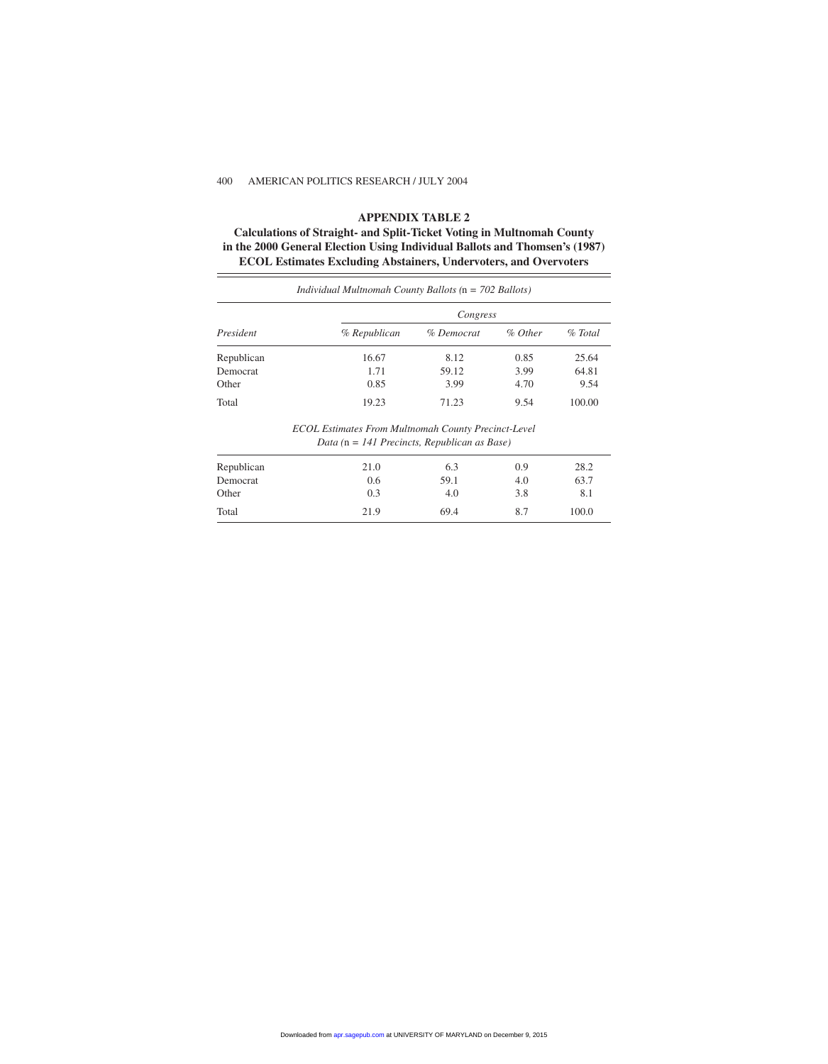### **APPENDIX TABLE 2**

# **Calculations of Straight- and Split-Ticket Voting in Multnomah County in the 2000 General Election Using Individual Ballots and Thomsen's (1987) ECOL Estimates Excluding Abstainers, Undervoters, and Overvoters**

 $=$ 

|                 | Individual Multnomah County Ballots ( $n = 702$ Ballots) |            |            |         |
|-----------------|----------------------------------------------------------|------------|------------|---------|
|                 |                                                          | Congress   |            |         |
| President       | % Republican                                             | % Democrat | $\%$ Other | % Total |
| Republican      | 16.67                                                    | 8.12       | 0.85       | 25.64   |
| <b>Democrat</b> | 1.71                                                     | 59.12      | 3.99       | 64.81   |
| Other           | 0.85                                                     | 3.99       | 4.70       | 9.54    |
| Total           | 19.23                                                    | 71.23      | 9.54       | 100.00  |

*ECOL Estimates From Multnomah County Precinct-Level Data (*n *= 141 Precincts, Republican as Base)*

| Republican | 21.0 | 6.3  | 0.9 | 28.2  |
|------------|------|------|-----|-------|
| Democrat   | 0.6  | 59.1 | 4.0 | 63.7  |
| Other      | 0.3  | 4.0  | 3.8 | 8.1   |
| Total      | 21.9 | 69.4 | 8.7 | 100.0 |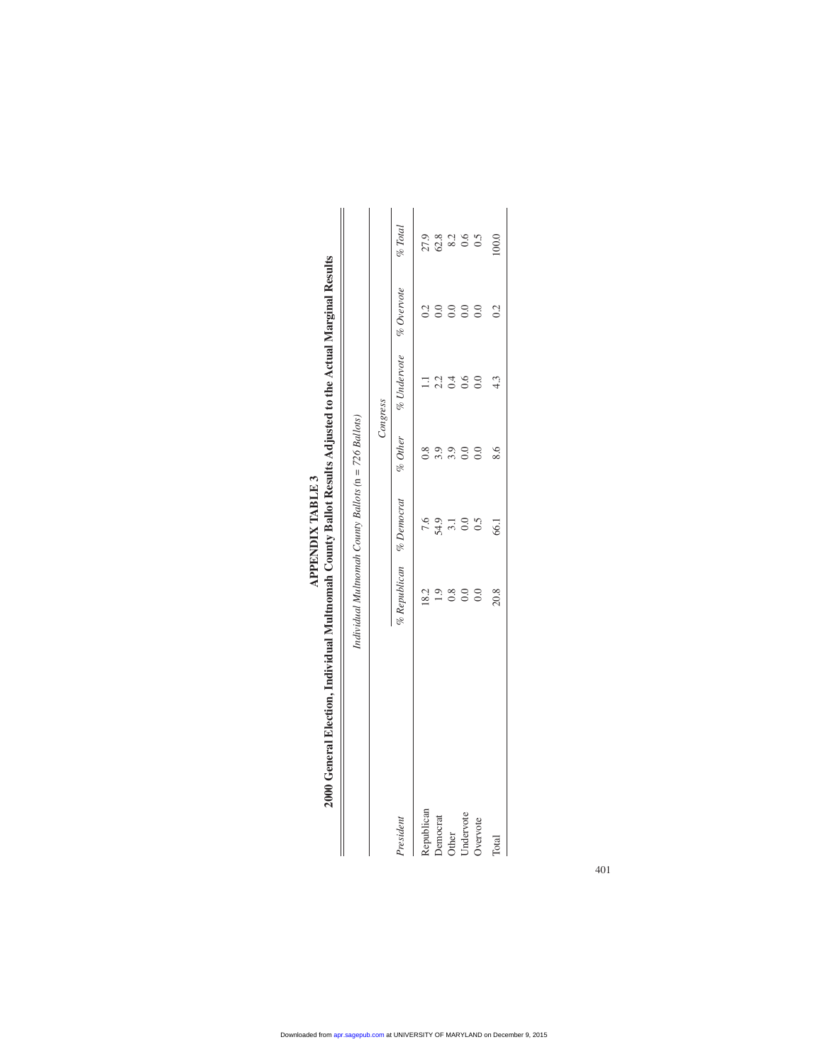|            |            | Individual Multnomah County Ballots (n = 726 Ballots) |            |                                                        | $\overline{a}$   |                     |
|------------|------------|-------------------------------------------------------|------------|--------------------------------------------------------|------------------|---------------------|
|            |            |                                                       |            | Congress                                               |                  |                     |
| President  |            |                                                       |            | % Republican % Democrat % Other % Undervote % Overvote |                  | $\%$ Total          |
| Republican | 18.2       | 7.6                                                   |            |                                                        |                  |                     |
| Democrat   |            | 54.9                                                  | 3.9        | 2.2                                                    |                  |                     |
| Other      | 0.8        | 3.1                                                   | 3.9        | 0.4                                                    | $\overline{0.0}$ | 0<br>20020<br>20030 |
| Undervote  | $_{\odot}$ | $_{0.0}$                                              | $_{\odot}$ | 0.6                                                    | $_{\rm 0.0}$     |                     |
| Overvote   | $_{0.0}$   | 0.5                                                   | 0.0        | $\overline{0.0}$                                       | $_{\rm 0.0}$     | 0.5                 |
| Total      | 20.8       | 56.1                                                  | 8.6        | 4.3                                                    | 0.2              | 100.0               |

# 2000 General Election, Individual Multnomah County Ballot Results Adjusted to the Actual Marginal Results **2000 General Election, Individual Multnomah County Ballot Results Adjusted to the Actual Marginal Results** APPENDIX TABLE 3 **APPENDIX TABLE 3**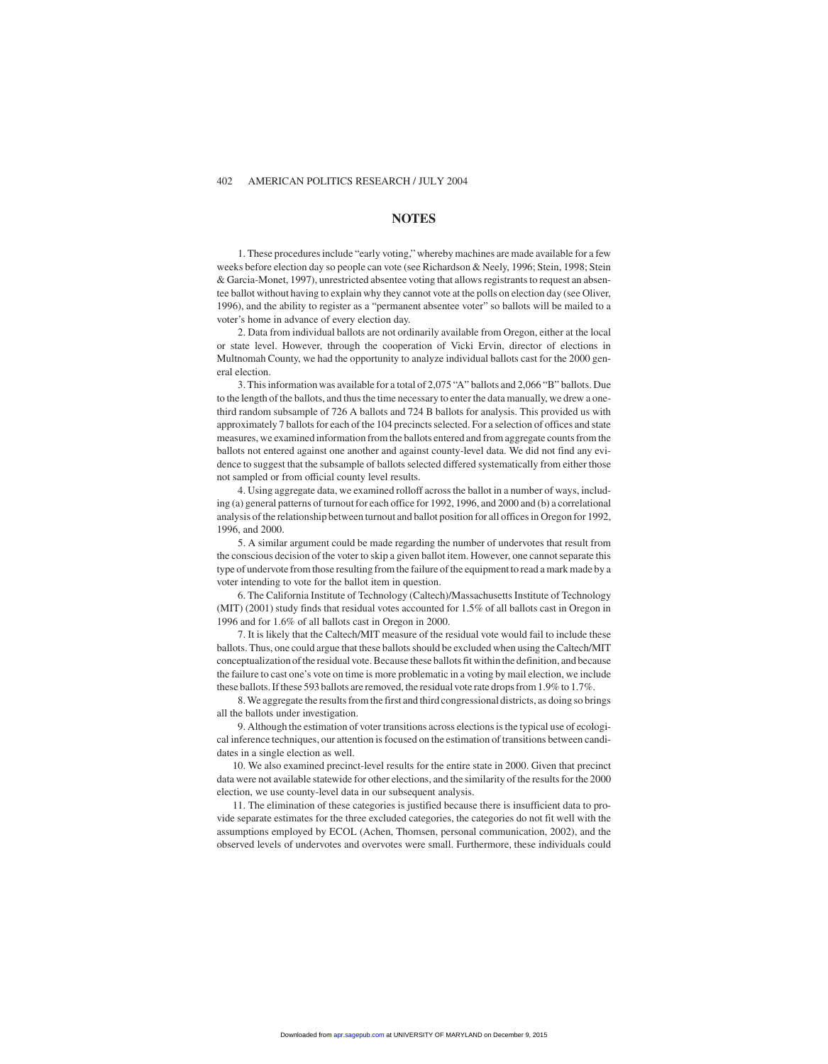### **NOTES**

1. These procedures include "early voting," whereby machines are made available for a few weeks before election day so people can vote (see Richardson & Neely, 1996; Stein, 1998; Stein & Garcia-Monet, 1997), unrestricted absentee voting that allows registrants to request an absentee ballot without having to explain why they cannot vote at the polls on election day (see Oliver, 1996), and the ability to register as a "permanent absentee voter" so ballots will be mailed to a voter's home in advance of every election day.

2. Data from individual ballots are not ordinarily available from Oregon, either at the local or state level. However, through the cooperation of Vicki Ervin, director of elections in Multnomah County, we had the opportunity to analyze individual ballots cast for the 2000 general election.

3. This information was available for a total of 2,075 "A" ballots and 2,066 "B" ballots. Due to the length of the ballots, and thus the time necessary to enter the data manually, we drew a onethird random subsample of 726 A ballots and 724 B ballots for analysis. This provided us with approximately 7 ballots for each of the 104 precincts selected. For a selection of offices and state measures, we examined information from the ballots entered and from aggregate counts from the ballots not entered against one another and against county-level data. We did not find any evidence to suggest that the subsample of ballots selected differed systematically from either those not sampled or from official county level results.

4. Using aggregate data, we examined rolloff across the ballot in a number of ways, including (a) general patterns of turnout for each office for 1992, 1996, and 2000 and (b) a correlational analysis of the relationship between turnout and ballot position for all offices in Oregon for 1992, 1996, and 2000.

5. A similar argument could be made regarding the number of undervotes that result from the conscious decision of the voter to skip a given ballot item. However, one cannot separate this type of undervote from those resulting from the failure of the equipment to read a mark made by a voter intending to vote for the ballot item in question.

6. The California Institute of Technology (Caltech)/Massachusetts Institute of Technology (MIT) (2001) study finds that residual votes accounted for 1.5% of all ballots cast in Oregon in 1996 and for 1.6% of all ballots cast in Oregon in 2000.

7. It is likely that the Caltech/MIT measure of the residual vote would fail to include these ballots. Thus, one could argue that these ballots should be excluded when using the Caltech/MIT conceptualization of the residual vote. Because these ballots fit within the definition, and because the failure to cast one's vote on time is more problematic in a voting by mail election, we include these ballots. If these 593 ballots are removed, the residual vote rate drops from 1.9% to 1.7%.

8. We aggregate the results from the first and third congressional districts, as doing so brings all the ballots under investigation.

9. Although the estimation of voter transitions across elections is the typical use of ecological inference techniques, our attention is focused on the estimation of transitions between candidates in a single election as well.

10. We also examined precinct-level results for the entire state in 2000. Given that precinct data were not available statewide for other elections, and the similarity of the results for the 2000 election, we use county-level data in our subsequent analysis.

11. The elimination of these categories is justified because there is insufficient data to provide separate estimates for the three excluded categories, the categories do not fit well with the assumptions employed by ECOL (Achen, Thomsen, personal communication, 2002), and the observed levels of undervotes and overvotes were small. Furthermore, these individuals could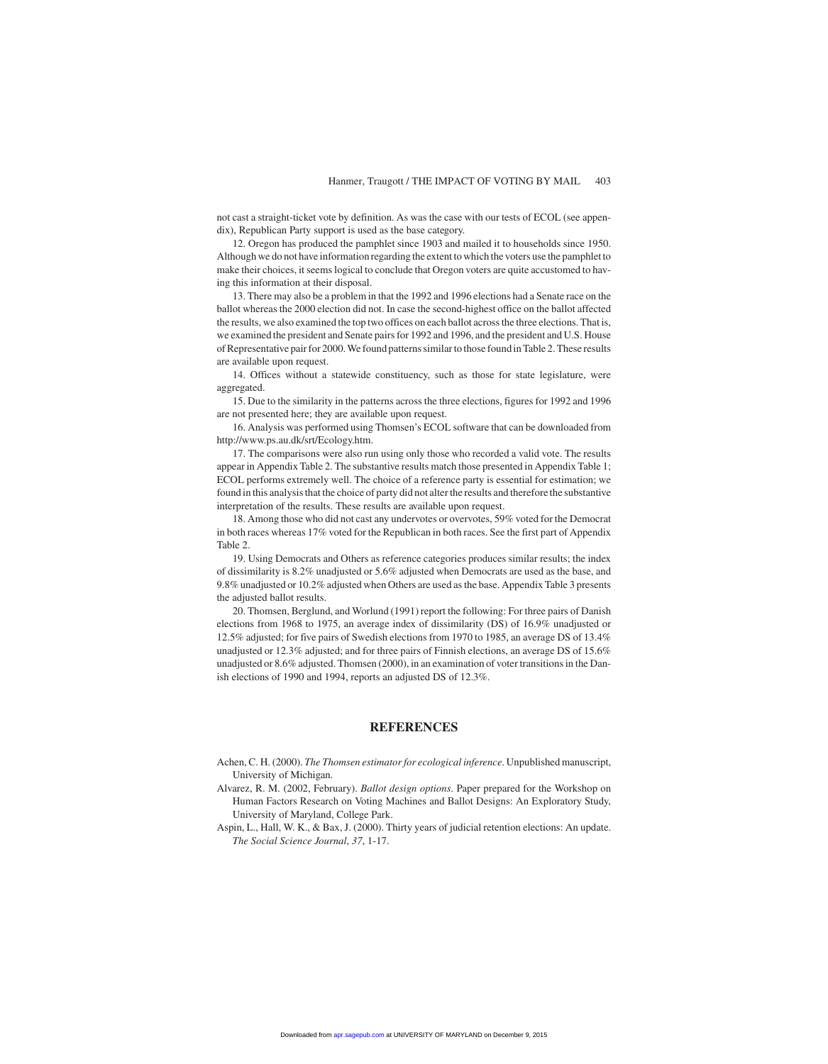not cast a straight-ticket vote by definition. As was the case with our tests of ECOL (see appendix), Republican Party support is used as the base category.

12. Oregon has produced the pamphlet since 1903 and mailed it to households since 1950. Although we do not have information regarding the extent to which the voters use the pamphlet to make their choices, it seems logical to conclude that Oregon voters are quite accustomed to having this information at their disposal.

13. There may also be a problem in that the 1992 and 1996 elections had a Senate race on the ballot whereas the 2000 election did not. In case the second-highest office on the ballot affected the results, we also examined the top two offices on each ballot across the three elections. That is, we examined the president and Senate pairs for 1992 and 1996, and the president and U.S. House of Representative pair for 2000. We found patterns similar to those found in Table 2. These results are available upon request.

14. Offices without a statewide constituency, such as those for state legislature, were aggregated.

15. Due to the similarity in the patterns across the three elections, figures for 1992 and 1996 are not presented here; they are available upon request.

16. Analysis was performed using Thomsen's ECOL software that can be downloaded from http://www.ps.au.dk/srt/Ecology.htm.

17. The comparisons were also run using only those who recorded a valid vote. The results appear in Appendix Table 2. The substantive results match those presented in Appendix Table 1; ECOL performs extremely well. The choice of a reference party is essential for estimation; we found in this analysis that the choice of party did not alter the results and therefore the substantive interpretation of the results. These results are available upon request.

18. Among those who did not cast any undervotes or overvotes, 59% voted for the Democrat in both races whereas 17% voted for the Republican in both races. See the first part of Appendix Table 2.

19. Using Democrats and Others as reference categories produces similar results; the index of dissimilarity is 8.2% unadjusted or 5.6% adjusted when Democrats are used as the base, and 9.8% unadjusted or 10.2% adjusted when Others are used as the base. Appendix Table 3 presents the adjusted ballot results.

20. Thomsen, Berglund, and Worlund (1991) report the following: For three pairs of Danish elections from 1968 to 1975, an average index of dissimilarity (DS) of 16.9% unadjusted or 12.5% adjusted; for five pairs of Swedish elections from 1970 to 1985, an average DS of 13.4% unadjusted or 12.3% adjusted; and for three pairs of Finnish elections, an average DS of 15.6% unadjusted or 8.6% adjusted. Thomsen (2000), in an examination of voter transitions in the Danish elections of 1990 and 1994, reports an adjusted DS of 12.3%.

# **REFERENCES**

- Achen, C. H. (2000). *The Thomsen estimator for ecological inference*. Unpublished manuscript, University of Michigan.
- Alvarez, R. M. (2002, February). *Ballot design options*. Paper prepared for the Workshop on Human Factors Research on Voting Machines and Ballot Designs: An Exploratory Study, University of Maryland, College Park.

Aspin, L., Hall, W. K., & Bax, J. (2000). Thirty years of judicial retention elections: An update. *The Social Science Journal*, *37*, 1-17.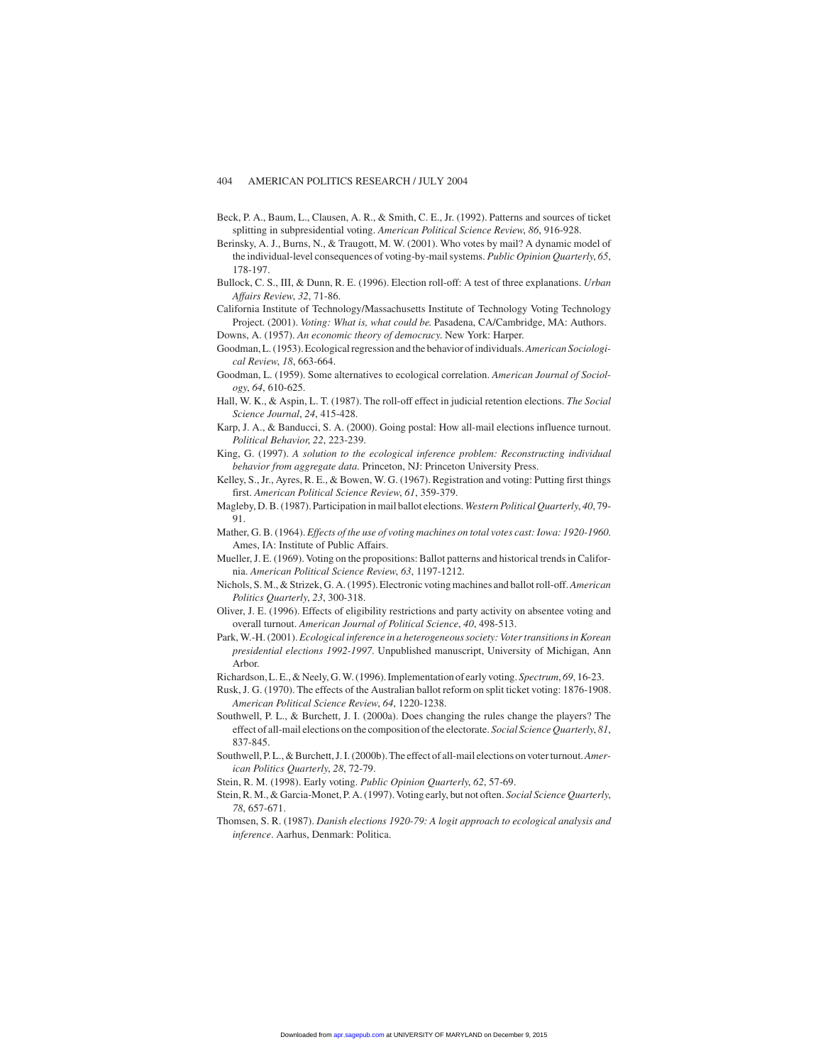- Beck, P. A., Baum, L., Clausen, A. R., & Smith, C. E., Jr. (1992). Patterns and sources of ticket splitting in subpresidential voting. *American Political Science Review*, *86*, 916-928.
- Berinsky, A. J., Burns, N., & Traugott, M. W. (2001). Who votes by mail? A dynamic model of the individual-level consequences of voting-by-mail systems. *Public Opinion Quarterly*, *65*, 178-197.
- Bullock, C. S., III, & Dunn, R. E. (1996). Election roll-off: A test of three explanations. *Urban Affairs Review*, *32*, 71-86.
- California Institute of Technology/Massachusetts Institute of Technology Voting Technology Project. (2001). *Voting: What is, what could be*. Pasadena, CA/Cambridge, MA: Authors. Downs, A. (1957). *An economic theory of democracy*. New York: Harper.
- Goodman, L. (1953). Ecological regression and the behavior of individuals.*American Sociological Review*, *18*, 663-664.
- Goodman, L. (1959). Some alternatives to ecological correlation. *American Journal of Sociology*, *64*, 610-625.
- Hall, W. K., & Aspin, L. T. (1987). The roll-off effect in judicial retention elections. *The Social Science Journal*, *24*, 415-428.
- Karp, J. A., & Banducci, S. A. (2000). Going postal: How all-mail elections influence turnout. *Political Behavior*, *22*, 223-239.
- King, G. (1997). *A solution to the ecological inference problem: Reconstructing individual behavior from aggregate data*. Princeton, NJ: Princeton University Press.
- Kelley, S., Jr., Ayres, R. E., & Bowen, W. G. (1967). Registration and voting: Putting first things first. *American Political Science Review*, *61*, 359-379.
- Magleby, D. B. (1987). Participation in mail ballot elections. *Western Political Quarterly*, *40*, 79- 91.
- Mather, G. B. (1964). *Effects of the use of voting machines on total votes cast: Iowa: 1920-1960*. Ames, IA: Institute of Public Affairs.
- Mueller, J. E. (1969). Voting on the propositions: Ballot patterns and historical trends in California. *American Political Science Review*, *63*, 1197-1212.
- Nichols, S. M., & Strizek, G. A. (1995). Electronic voting machines and ballot roll-off. *American Politics Quarterly*, *23*, 300-318.
- Oliver, J. E. (1996). Effects of eligibility restrictions and party activity on absentee voting and overall turnout. *American Journal of Political Science*, *40*, 498-513.
- Park, W.-H. (2001).*Ecological inference in a heterogeneous society: Voter transitions in Korean presidential elections 1992-1997*. Unpublished manuscript, University of Michigan, Ann Arbor.
- Richardson, L. E., & Neely, G. W. (1996). Implementationof early voting. *Spectrum*, *69*, 16-23.
- Rusk, J. G. (1970). The effects of the Australian ballot reform on split ticket voting: 1876-1908. *American Political Science Review*, *64*, 1220-1238.
- Southwell, P. L., & Burchett, J. I. (2000a). Does changing the rules change the players? The effect of all-mail elections on the composition of the electorate. *Social Science Quarterly*, *81*, 837-845.
- Southwell, P. L., & Burchett, J. I. (2000b). The effect of all-mail elections on voter turnout.*American Politics Quarterly*, *28*, 72-79.
- Stein, R. M. (1998). Early voting. *Public Opinion Quarterly*, *62*, 57-69.
- Stein, R. M., & Garcia-Monet, P. A. (1997). Voting early, but not often. *Social Science Quarterly*, *78*, 657-671.
- Thomsen, S. R. (1987). *Danish elections 1920-79: A logit approach to ecological analysis and inference*. Aarhus, Denmark: Politica.